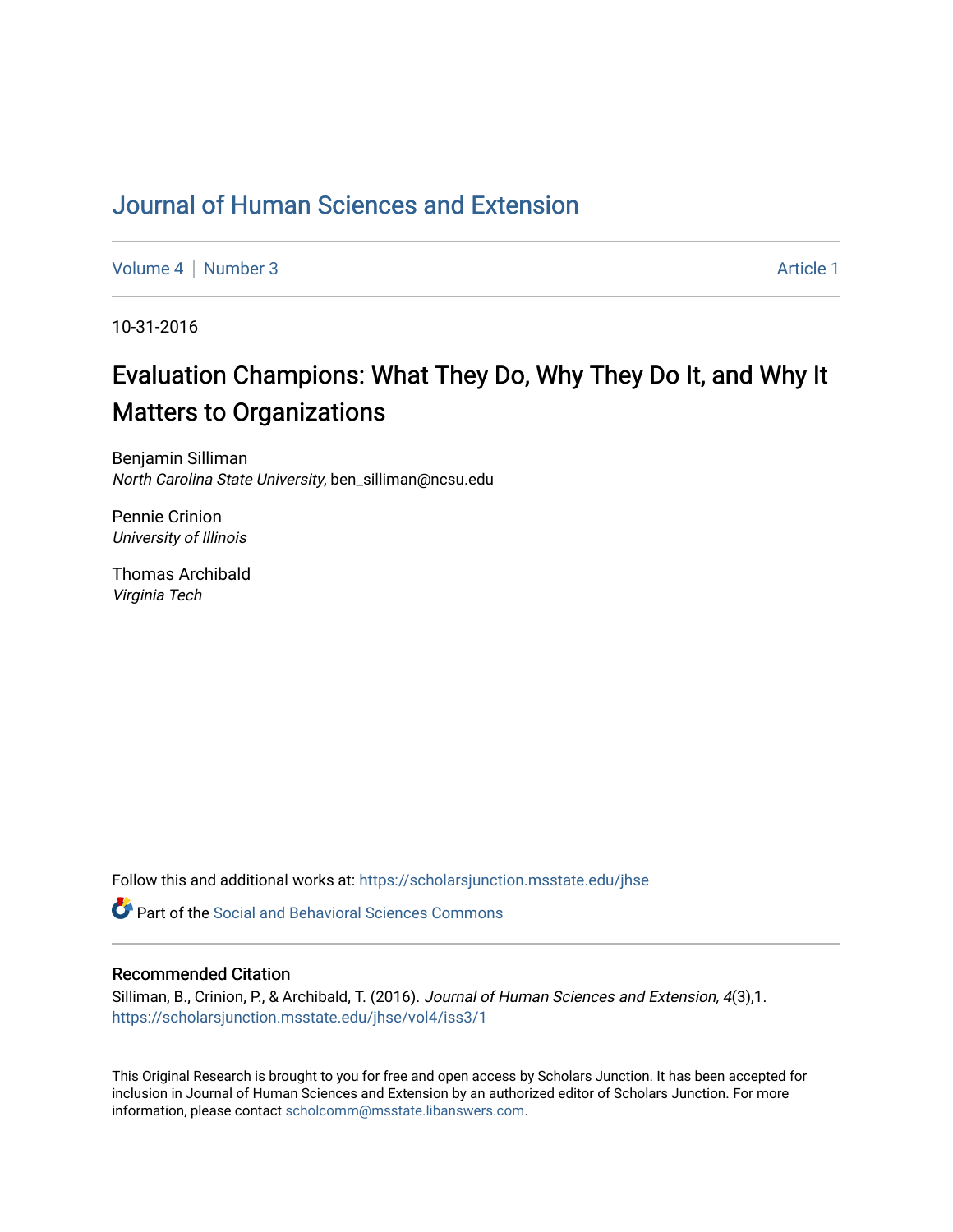## [Journal of Human Sciences and Extension](https://scholarsjunction.msstate.edu/jhse)

[Volume 4](https://scholarsjunction.msstate.edu/jhse/vol4) | [Number 3](https://scholarsjunction.msstate.edu/jhse/vol4/iss3) Article 1

10-31-2016

# Evaluation Champions: What They Do, Why They Do It, and Why It Matters to Organizations

Benjamin Silliman North Carolina State University, ben\_silliman@ncsu.edu

Pennie Crinion University of Illinois

Thomas Archibald Virginia Tech

Follow this and additional works at: [https://scholarsjunction.msstate.edu/jhse](https://scholarsjunction.msstate.edu/jhse?utm_source=scholarsjunction.msstate.edu%2Fjhse%2Fvol4%2Fiss3%2F1&utm_medium=PDF&utm_campaign=PDFCoverPages)

**C** Part of the Social and Behavioral Sciences Commons

#### Recommended Citation

Silliman, B., Crinion, P., & Archibald, T. (2016). Journal of Human Sciences and Extension, 4(3),1. [https://scholarsjunction.msstate.edu/jhse/vol4/iss3/1](https://scholarsjunction.msstate.edu/jhse/vol4/iss3/1?utm_source=scholarsjunction.msstate.edu%2Fjhse%2Fvol4%2Fiss3%2F1&utm_medium=PDF&utm_campaign=PDFCoverPages)

This Original Research is brought to you for free and open access by Scholars Junction. It has been accepted for inclusion in Journal of Human Sciences and Extension by an authorized editor of Scholars Junction. For more information, please contact [scholcomm@msstate.libanswers.com](mailto:scholcomm@msstate.libanswers.com).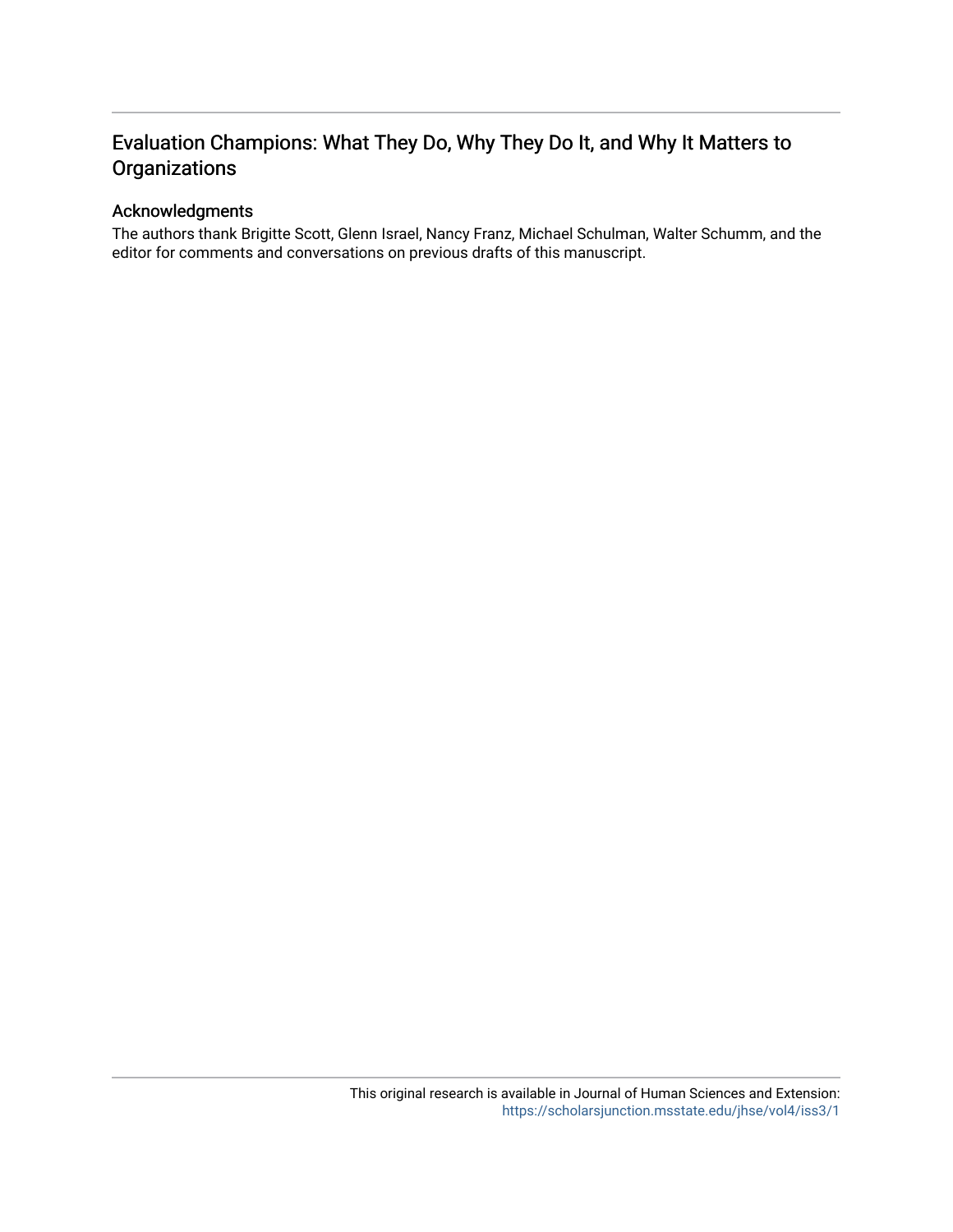## Evaluation Champions: What They Do, Why They Do It, and Why It Matters to **Organizations**

## Acknowledgments

The authors thank Brigitte Scott, Glenn Israel, Nancy Franz, Michael Schulman, Walter Schumm, and the editor for comments and conversations on previous drafts of this manuscript.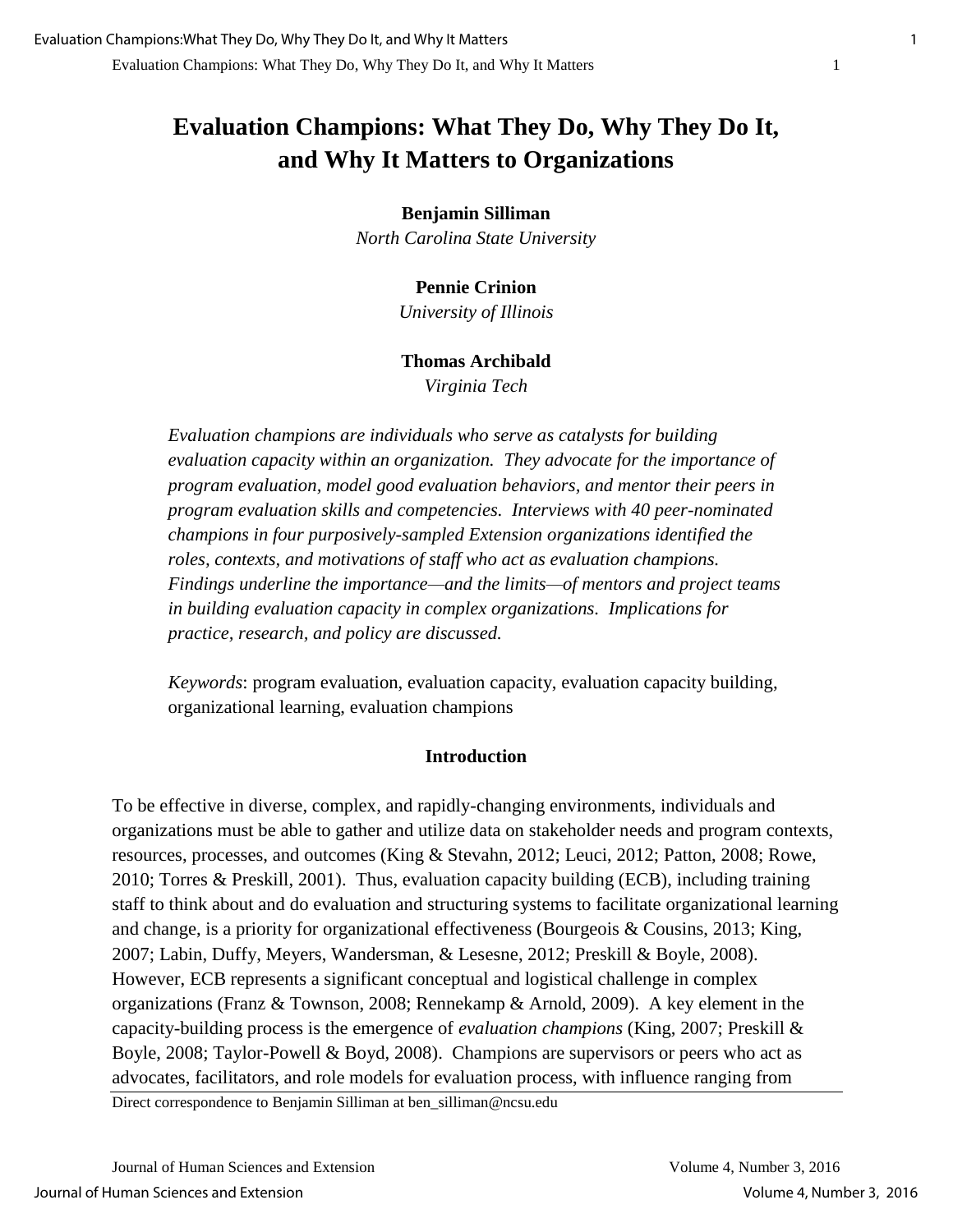# **Evaluation Champions: What They Do, Why They Do It, and Why It Matters to Organizations**

### **Benjamin Silliman**

*North Carolina State University* 

## **Pennie Crinion**

*University of Illinois* 

#### **Thomas Archibald**

*Virginia Tech* 

*Evaluation champions are individuals who serve as catalysts for building evaluation capacity within an organization. They advocate for the importance of program evaluation, model good evaluation behaviors, and mentor their peers in program evaluation skills and competencies. Interviews with 40 peer-nominated champions in four purposively-sampled Extension organizations identified the roles, contexts, and motivations of staff who act as evaluation champions. Findings underline the importance—and the limits—of mentors and project teams in building evaluation capacity in complex organizations. Implications for practice, research, and policy are discussed.* 

*Keywords*: program evaluation, evaluation capacity, evaluation capacity building, organizational learning, evaluation champions

#### **Introduction**

To be effective in diverse, complex, and rapidly-changing environments, individuals and organizations must be able to gather and utilize data on stakeholder needs and program contexts, resources, processes, and outcomes (King & Stevahn, 2012; Leuci, 2012; Patton, 2008; Rowe, 2010; Torres & Preskill, 2001). Thus, evaluation capacity building (ECB), including training staff to think about and do evaluation and structuring systems to facilitate organizational learning and change, is a priority for organizational effectiveness (Bourgeois & Cousins, 2013; King, 2007; Labin, Duffy, Meyers, Wandersman, & Lesesne, 2012; Preskill & Boyle, 2008). However, ECB represents a significant conceptual and logistical challenge in complex organizations (Franz & Townson, 2008; Rennekamp & Arnold, 2009). A key element in the capacity-building process is the emergence of *evaluation champions* (King, 2007; Preskill & Boyle, 2008; Taylor-Powell & Boyd, 2008). Champions are supervisors or peers who act as advocates, facilitators, and role models for evaluation process, with influence ranging from

Direct correspondence to Benjamin Silliman at ben\_silliman@ncsu.edu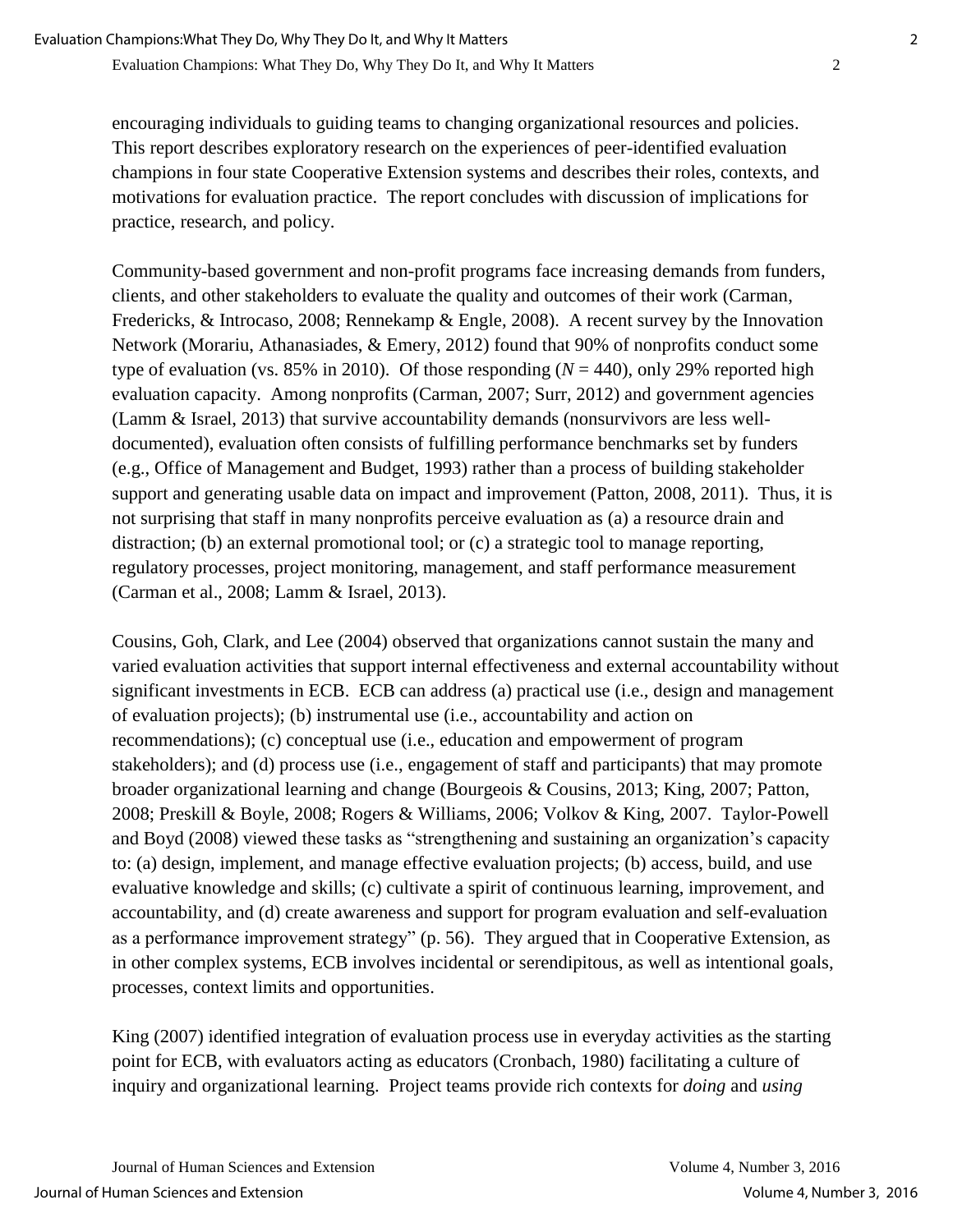encouraging individuals to guiding teams to changing organizational resources and policies. This report describes exploratory research on the experiences of peer-identified evaluation champions in four state Cooperative Extension systems and describes their roles, contexts, and motivations for evaluation practice. The report concludes with discussion of implications for practice, research, and policy.

Community-based government and non-profit programs face increasing demands from funders, clients, and other stakeholders to evaluate the quality and outcomes of their work (Carman, Fredericks, & Introcaso, 2008; Rennekamp & Engle, 2008). A recent survey by the Innovation Network (Morariu, Athanasiades, & Emery, 2012) found that 90% of nonprofits conduct some type of evaluation (vs.  $85\%$  in 2010). Of those responding ( $N = 440$ ), only 29% reported high evaluation capacity. Among nonprofits (Carman, 2007; Surr, 2012) and government agencies (Lamm & Israel, 2013) that survive accountability demands (nonsurvivors are less welldocumented), evaluation often consists of fulfilling performance benchmarks set by funders (e.g., Office of Management and Budget, 1993) rather than a process of building stakeholder support and generating usable data on impact and improvement (Patton, 2008, 2011). Thus, it is not surprising that staff in many nonprofits perceive evaluation as (a) a resource drain and distraction; (b) an external promotional tool; or (c) a strategic tool to manage reporting, regulatory processes, project monitoring, management, and staff performance measurement (Carman et al., 2008; Lamm & Israel, 2013).

Cousins, Goh, Clark, and Lee (2004) observed that organizations cannot sustain the many and varied evaluation activities that support internal effectiveness and external accountability without significant investments in ECB. ECB can address (a) practical use (i.e., design and management of evaluation projects); (b) instrumental use (i.e., accountability and action on recommendations); (c) conceptual use (i.e., education and empowerment of program stakeholders); and (d) process use (i.e., engagement of staff and participants) that may promote broader organizational learning and change (Bourgeois & Cousins, 2013; King, 2007; Patton, 2008; Preskill & Boyle, 2008; Rogers & Williams, 2006; Volkov & King, 2007. Taylor-Powell and Boyd (2008) viewed these tasks as "strengthening and sustaining an organization's capacity to: (a) design, implement, and manage effective evaluation projects; (b) access, build, and use evaluative knowledge and skills; (c) cultivate a spirit of continuous learning, improvement, and accountability, and (d) create awareness and support for program evaluation and self-evaluation as a performance improvement strategy" (p. 56). They argued that in Cooperative Extension, as in other complex systems, ECB involves incidental or serendipitous, as well as intentional goals, processes, context limits and opportunities.

King (2007) identified integration of evaluation process use in everyday activities as the starting point for ECB, with evaluators acting as educators (Cronbach, 1980) facilitating a culture of inquiry and organizational learning. Project teams provide rich contexts for *doing* and *using*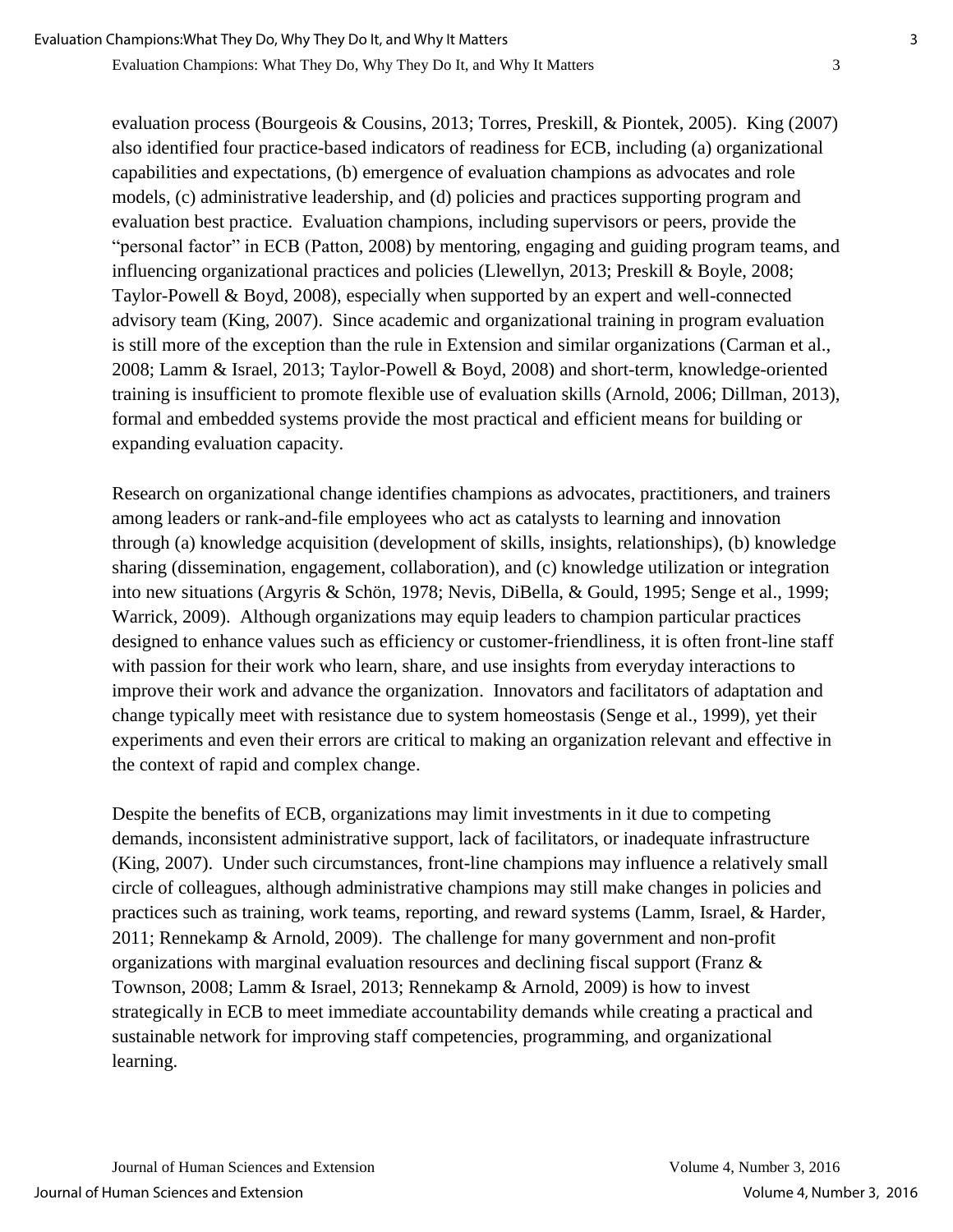evaluation process (Bourgeois & Cousins, 2013; Torres, Preskill, & Piontek, 2005). King (2007) also identified four practice-based indicators of readiness for ECB, including (a) organizational capabilities and expectations, (b) emergence of evaluation champions as advocates and role models, (c) administrative leadership, and (d) policies and practices supporting program and evaluation best practice. Evaluation champions, including supervisors or peers, provide the "personal factor" in ECB (Patton, 2008) by mentoring, engaging and guiding program teams, and influencing organizational practices and policies (Llewellyn, 2013; Preskill & Boyle, 2008; Taylor-Powell & Boyd, 2008), especially when supported by an expert and well-connected advisory team (King, 2007). Since academic and organizational training in program evaluation is still more of the exception than the rule in Extension and similar organizations (Carman et al., 2008; Lamm & Israel, 2013; Taylor-Powell & Boyd, 2008) and short-term, knowledge-oriented training is insufficient to promote flexible use of evaluation skills (Arnold, 2006; Dillman, 2013), formal and embedded systems provide the most practical and efficient means for building or expanding evaluation capacity.

Research on organizational change identifies champions as advocates, practitioners, and trainers among leaders or rank-and-file employees who act as catalysts to learning and innovation through (a) knowledge acquisition (development of skills, insights, relationships), (b) knowledge sharing (dissemination, engagement, collaboration), and (c) knowledge utilization or integration into new situations (Argyris & Schön, 1978; Nevis, DiBella, & Gould, 1995; Senge et al., 1999; Warrick, 2009). Although organizations may equip leaders to champion particular practices designed to enhance values such as efficiency or customer-friendliness, it is often front-line staff with passion for their work who learn, share, and use insights from everyday interactions to improve their work and advance the organization. Innovators and facilitators of adaptation and change typically meet with resistance due to system homeostasis (Senge et al., 1999), yet their experiments and even their errors are critical to making an organization relevant and effective in the context of rapid and complex change.

Despite the benefits of ECB, organizations may limit investments in it due to competing demands, inconsistent administrative support, lack of facilitators, or inadequate infrastructure (King, 2007). Under such circumstances, front-line champions may influence a relatively small circle of colleagues, although administrative champions may still make changes in policies and practices such as training, work teams, reporting, and reward systems (Lamm, Israel, & Harder, 2011; Rennekamp & Arnold, 2009). The challenge for many government and non-profit organizations with marginal evaluation resources and declining fiscal support (Franz  $\&$ Townson, 2008; Lamm & Israel, 2013; Rennekamp & Arnold, 2009) is how to invest strategically in ECB to meet immediate accountability demands while creating a practical and sustainable network for improving staff competencies, programming, and organizational learning.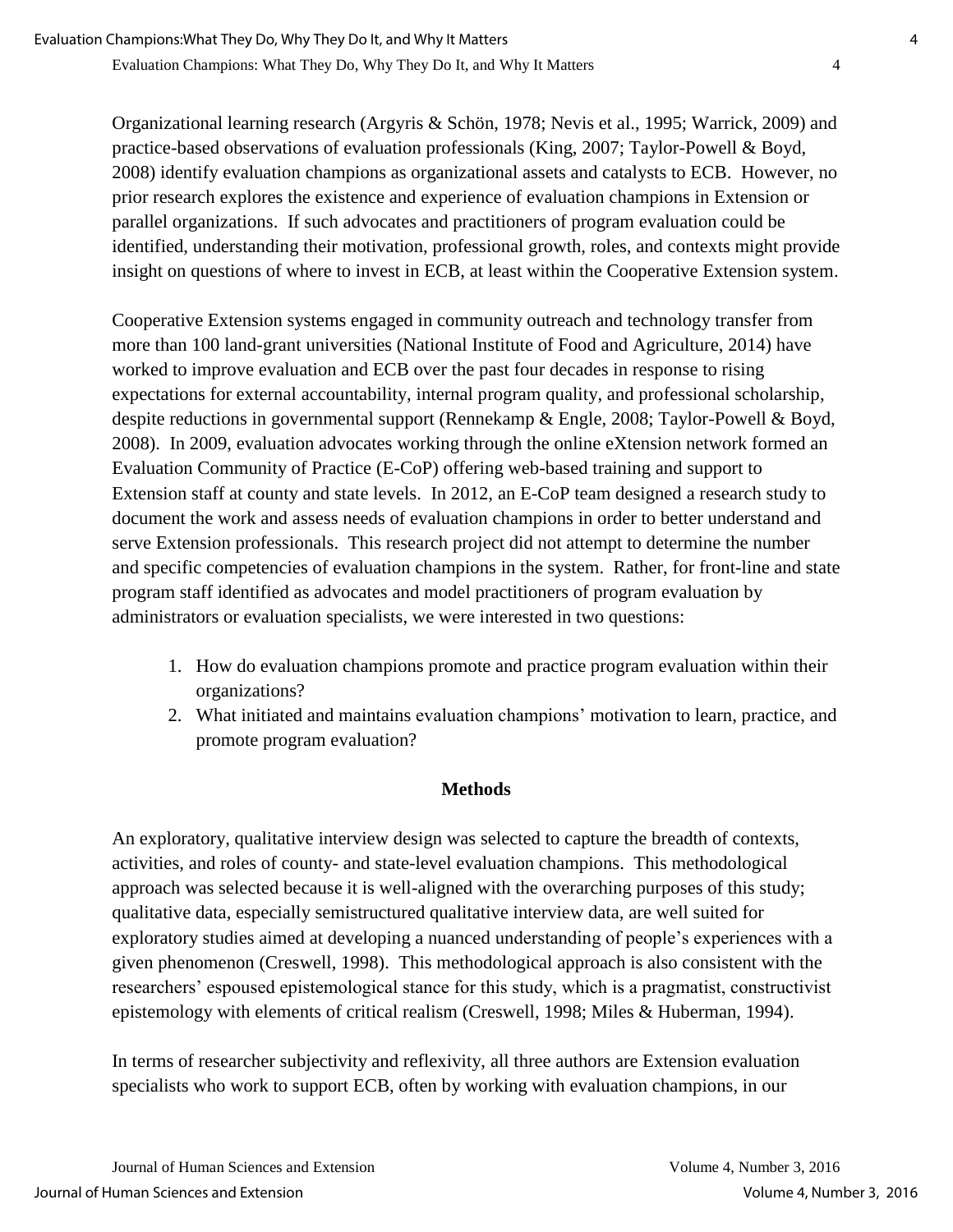Organizational learning research (Argyris & Schön, 1978; Nevis et al., 1995; Warrick, 2009) and practice-based observations of evaluation professionals (King, 2007; Taylor-Powell & Boyd, 2008) identify evaluation champions as organizational assets and catalysts to ECB. However, no prior research explores the existence and experience of evaluation champions in Extension or parallel organizations. If such advocates and practitioners of program evaluation could be identified, understanding their motivation, professional growth, roles, and contexts might provide insight on questions of where to invest in ECB, at least within the Cooperative Extension system.

Cooperative Extension systems engaged in community outreach and technology transfer from more than 100 land-grant universities (National Institute of Food and Agriculture, 2014) have worked to improve evaluation and ECB over the past four decades in response to rising expectations for external accountability, internal program quality, and professional scholarship, despite reductions in governmental support (Rennekamp & Engle, 2008; Taylor-Powell & Boyd, 2008). In 2009, evaluation advocates working through the online eXtension network formed an Evaluation Community of Practice (E-CoP) offering web-based training and support to Extension staff at county and state levels. In 2012, an E-CoP team designed a research study to document the work and assess needs of evaluation champions in order to better understand and serve Extension professionals. This research project did not attempt to determine the number and specific competencies of evaluation champions in the system. Rather, for front-line and state program staff identified as advocates and model practitioners of program evaluation by administrators or evaluation specialists, we were interested in two questions:

- 1. How do evaluation champions promote and practice program evaluation within their organizations?
- 2. What initiated and maintains evaluation champions' motivation to learn, practice, and promote program evaluation?

## **Methods**

An exploratory, qualitative interview design was selected to capture the breadth of contexts, activities, and roles of county- and state-level evaluation champions. This methodological approach was selected because it is well-aligned with the overarching purposes of this study; qualitative data, especially semistructured qualitative interview data, are well suited for exploratory studies aimed at developing a nuanced understanding of people's experiences with a given phenomenon (Creswell, 1998). This methodological approach is also consistent with the researchers' espoused epistemological stance for this study, which is a pragmatist, constructivist epistemology with elements of critical realism (Creswell, 1998; Miles & Huberman, 1994).

In terms of researcher subjectivity and reflexivity, all three authors are Extension evaluation specialists who work to support ECB, often by working with evaluation champions, in our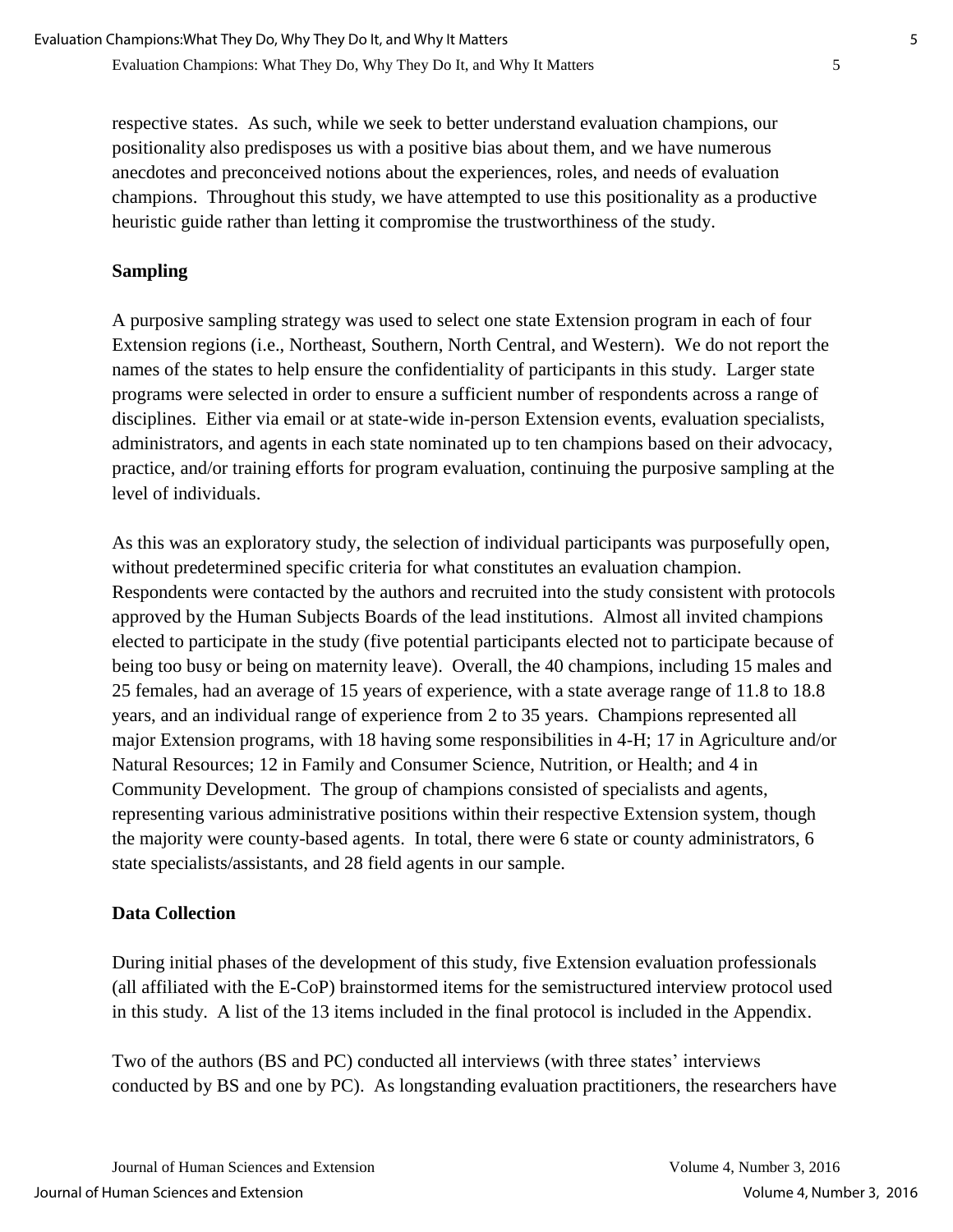respective states. As such, while we seek to better understand evaluation champions, our positionality also predisposes us with a positive bias about them, and we have numerous anecdotes and preconceived notions about the experiences, roles, and needs of evaluation champions. Throughout this study, we have attempted to use this positionality as a productive heuristic guide rather than letting it compromise the trustworthiness of the study.

## **Sampling**

A purposive sampling strategy was used to select one state Extension program in each of four Extension regions (i.e., Northeast, Southern, North Central, and Western). We do not report the names of the states to help ensure the confidentiality of participants in this study. Larger state programs were selected in order to ensure a sufficient number of respondents across a range of disciplines. Either via email or at state-wide in-person Extension events, evaluation specialists, administrators, and agents in each state nominated up to ten champions based on their advocacy, practice, and/or training efforts for program evaluation, continuing the purposive sampling at the level of individuals.

As this was an exploratory study, the selection of individual participants was purposefully open, without predetermined specific criteria for what constitutes an evaluation champion. Respondents were contacted by the authors and recruited into the study consistent with protocols approved by the Human Subjects Boards of the lead institutions. Almost all invited champions elected to participate in the study (five potential participants elected not to participate because of being too busy or being on maternity leave). Overall, the 40 champions, including 15 males and 25 females, had an average of 15 years of experience, with a state average range of 11.8 to 18.8 years, and an individual range of experience from 2 to 35 years. Champions represented all major Extension programs, with 18 having some responsibilities in 4-H; 17 in Agriculture and/or Natural Resources; 12 in Family and Consumer Science, Nutrition, or Health; and 4 in Community Development. The group of champions consisted of specialists and agents, representing various administrative positions within their respective Extension system, though the majority were county-based agents. In total, there were 6 state or county administrators, 6 state specialists/assistants, and 28 field agents in our sample.

## **Data Collection**

During initial phases of the development of this study, five Extension evaluation professionals (all affiliated with the E-CoP) brainstormed items for the semistructured interview protocol used in this study. A list of the 13 items included in the final protocol is included in the Appendix.

Two of the authors (BS and PC) conducted all interviews (with three states' interviews conducted by BS and one by PC). As longstanding evaluation practitioners, the researchers have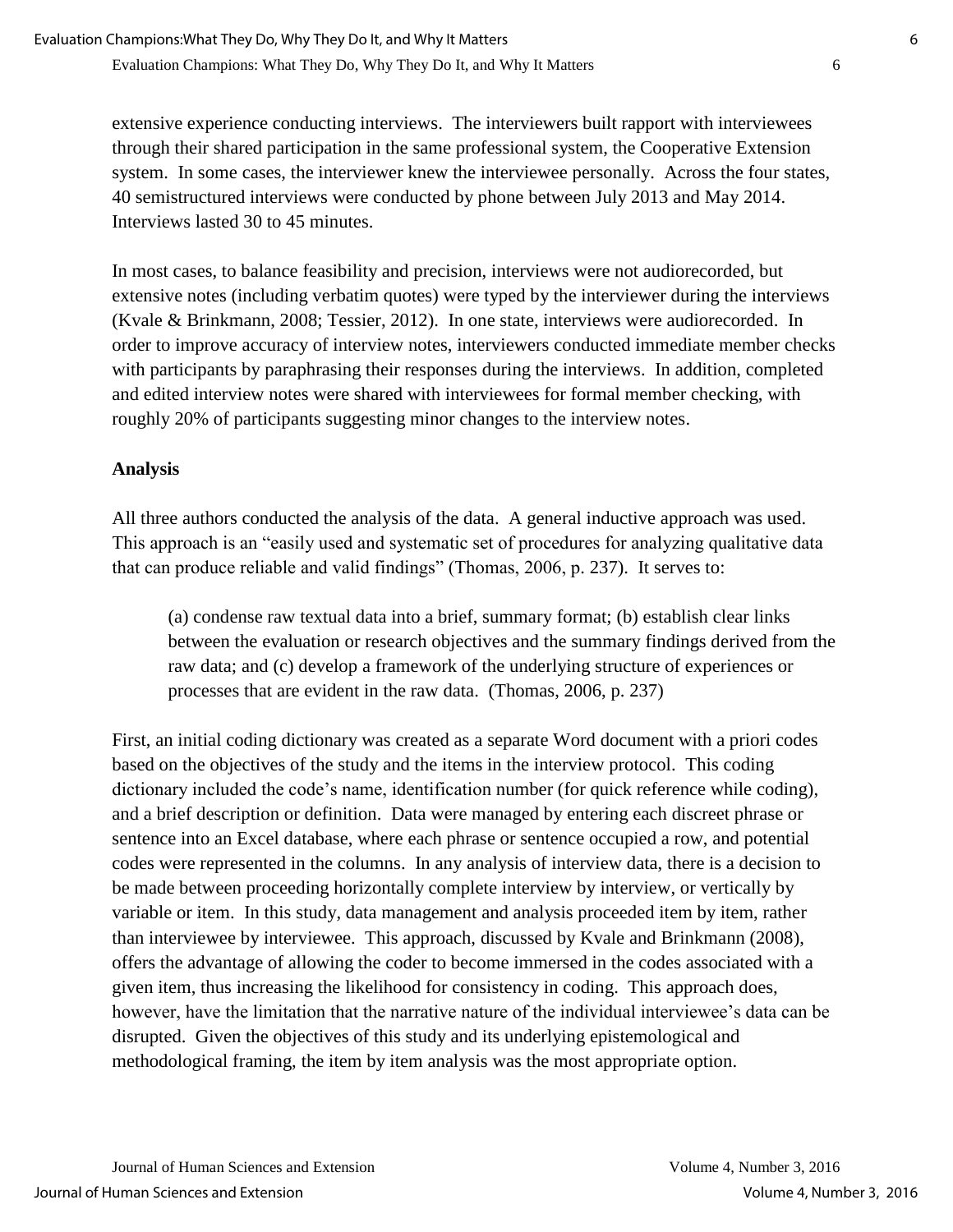extensive experience conducting interviews. The interviewers built rapport with interviewees through their shared participation in the same professional system, the Cooperative Extension system. In some cases, the interviewer knew the interviewee personally. Across the four states, 40 semistructured interviews were conducted by phone between July 2013 and May 2014. Interviews lasted 30 to 45 minutes.

In most cases, to balance feasibility and precision, interviews were not audiorecorded, but extensive notes (including verbatim quotes) were typed by the interviewer during the interviews (Kvale & Brinkmann, 2008; Tessier, 2012). In one state, interviews were audiorecorded. In order to improve accuracy of interview notes, interviewers conducted immediate member checks with participants by paraphrasing their responses during the interviews. In addition, completed and edited interview notes were shared with interviewees for formal member checking, with roughly 20% of participants suggesting minor changes to the interview notes.

## **Analysis**

All three authors conducted the analysis of the data. A general inductive approach was used. This approach is an "easily used and systematic set of procedures for analyzing qualitative data that can produce reliable and valid findings" (Thomas, 2006, p. 237). It serves to:

(a) condense raw textual data into a brief, summary format; (b) establish clear links between the evaluation or research objectives and the summary findings derived from the raw data; and (c) develop a framework of the underlying structure of experiences or processes that are evident in the raw data. (Thomas, 2006, p. 237)

First, an initial coding dictionary was created as a separate Word document with a priori codes based on the objectives of the study and the items in the interview protocol. This coding dictionary included the code's name, identification number (for quick reference while coding), and a brief description or definition. Data were managed by entering each discreet phrase or sentence into an Excel database, where each phrase or sentence occupied a row, and potential codes were represented in the columns. In any analysis of interview data, there is a decision to be made between proceeding horizontally complete interview by interview, or vertically by variable or item. In this study, data management and analysis proceeded item by item, rather than interviewee by interviewee. This approach, discussed by Kvale and Brinkmann (2008), offers the advantage of allowing the coder to become immersed in the codes associated with a given item, thus increasing the likelihood for consistency in coding. This approach does, however, have the limitation that the narrative nature of the individual interviewee's data can be disrupted. Given the objectives of this study and its underlying epistemological and methodological framing, the item by item analysis was the most appropriate option.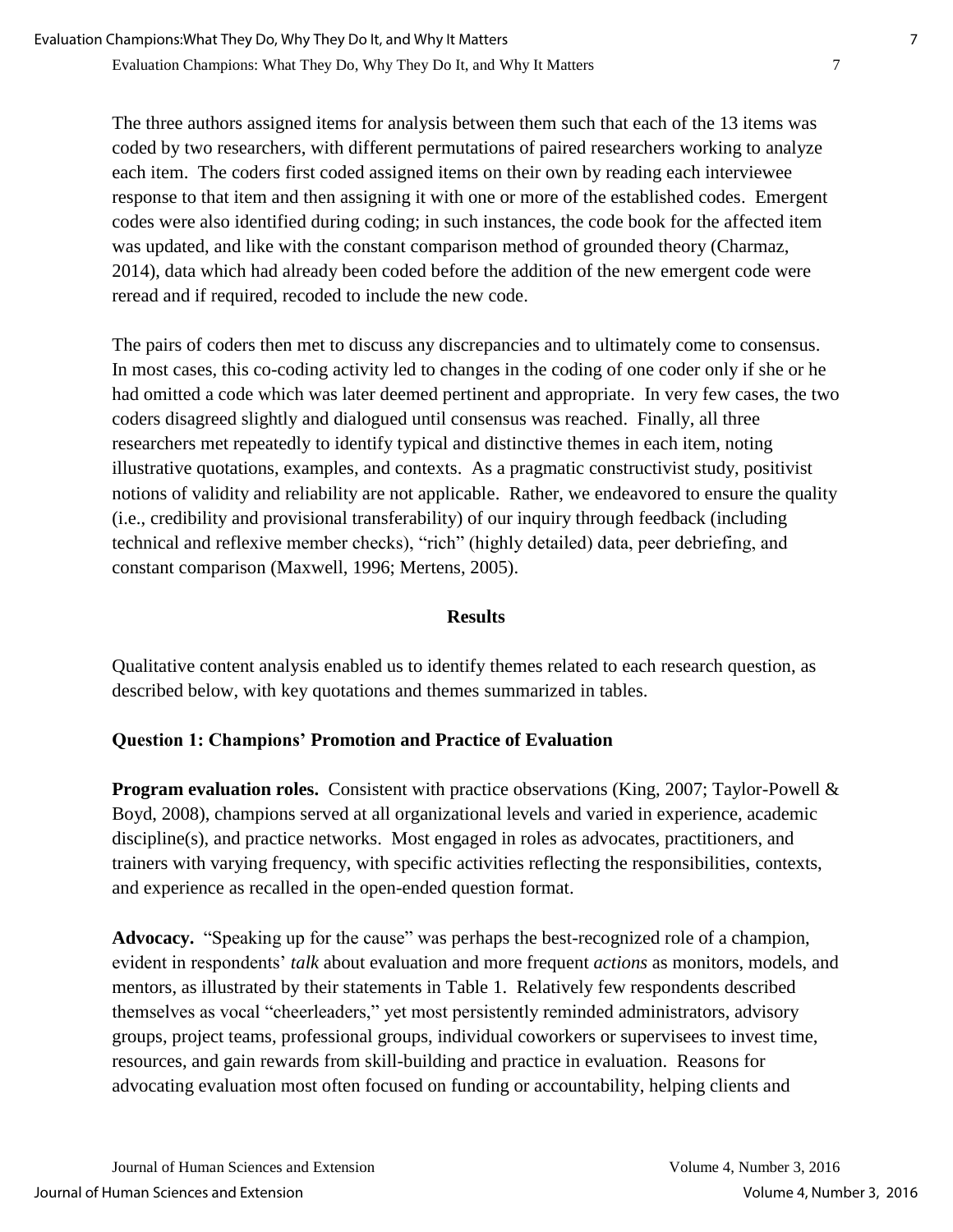The three authors assigned items for analysis between them such that each of the 13 items was coded by two researchers, with different permutations of paired researchers working to analyze each item. The coders first coded assigned items on their own by reading each interviewee response to that item and then assigning it with one or more of the established codes. Emergent codes were also identified during coding; in such instances, the code book for the affected item was updated, and like with the constant comparison method of grounded theory (Charmaz, 2014), data which had already been coded before the addition of the new emergent code were reread and if required, recoded to include the new code.

The pairs of coders then met to discuss any discrepancies and to ultimately come to consensus. In most cases, this co-coding activity led to changes in the coding of one coder only if she or he had omitted a code which was later deemed pertinent and appropriate. In very few cases, the two coders disagreed slightly and dialogued until consensus was reached. Finally, all three researchers met repeatedly to identify typical and distinctive themes in each item, noting illustrative quotations, examples, and contexts. As a pragmatic constructivist study, positivist notions of validity and reliability are not applicable. Rather, we endeavored to ensure the quality (i.e., credibility and provisional transferability) of our inquiry through feedback (including technical and reflexive member checks), "rich" (highly detailed) data, peer debriefing, and constant comparison (Maxwell, 1996; Mertens, 2005).

## **Results**

Qualitative content analysis enabled us to identify themes related to each research question, as described below, with key quotations and themes summarized in tables.

## **Question 1: Champions' Promotion and Practice of Evaluation**

**Program evaluation roles.** Consistent with practice observations (King, 2007; Taylor-Powell & Boyd, 2008), champions served at all organizational levels and varied in experience, academic discipline(s), and practice networks. Most engaged in roles as advocates, practitioners, and trainers with varying frequency, with specific activities reflecting the responsibilities, contexts, and experience as recalled in the open-ended question format.

**Advocacy.** "Speaking up for the cause" was perhaps the best-recognized role of a champion, evident in respondents' *talk* about evaluation and more frequent *actions* as monitors, models, and mentors, as illustrated by their statements in Table 1. Relatively few respondents described themselves as vocal "cheerleaders," yet most persistently reminded administrators, advisory groups, project teams, professional groups, individual coworkers or supervisees to invest time, resources, and gain rewards from skill-building and practice in evaluation. Reasons for advocating evaluation most often focused on funding or accountability, helping clients and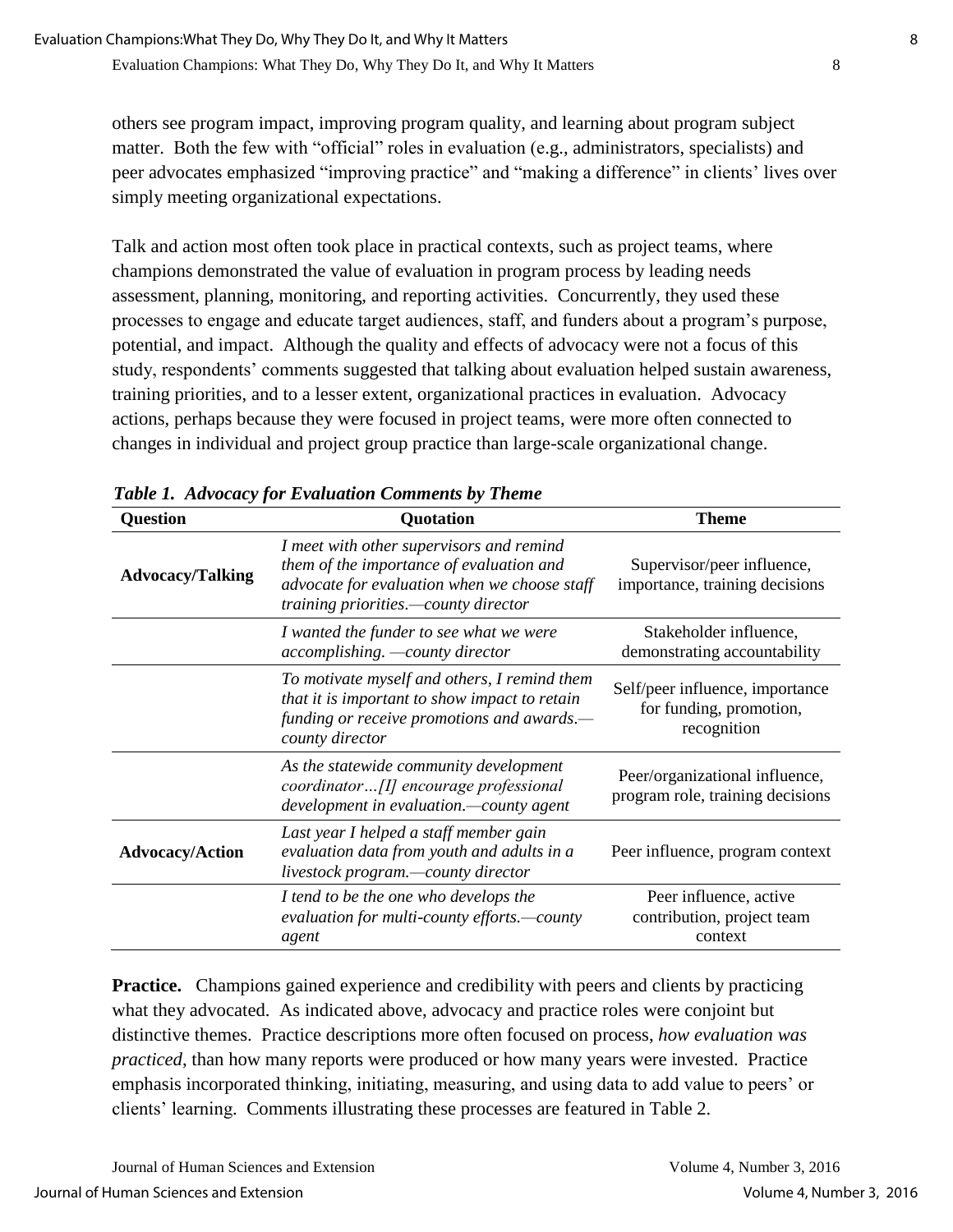others see program impact, improving program quality, and learning about program subject matter. Both the few with "official" roles in evaluation (e.g., administrators, specialists) and peer advocates emphasized "improving practice" and "making a difference" in clients' lives over simply meeting organizational expectations.

Talk and action most often took place in practical contexts, such as project teams, where champions demonstrated the value of evaluation in program process by leading needs assessment, planning, monitoring, and reporting activities. Concurrently, they used these processes to engage and educate target audiences, staff, and funders about a program's purpose, potential, and impact. Although the quality and effects of advocacy were not a focus of this study, respondents' comments suggested that talking about evaluation helped sustain awareness, training priorities, and to a lesser extent, organizational practices in evaluation. Advocacy actions, perhaps because they were focused in project teams, were more often connected to changes in individual and project group practice than large-scale organizational change.

| <b>Question</b>         | Quotation                                                                                                                                                                    | <b>Theme</b>                                                              |
|-------------------------|------------------------------------------------------------------------------------------------------------------------------------------------------------------------------|---------------------------------------------------------------------------|
| <b>Advocacy/Talking</b> | I meet with other supervisors and remind<br>them of the importance of evaluation and<br>advocate for evaluation when we choose staff<br>training priorities.—county director | Supervisor/peer influence,<br>importance, training decisions              |
|                         | I wanted the funder to see what we were<br>accomplishing. - county director                                                                                                  | Stakeholder influence,<br>demonstrating accountability                    |
|                         | To motivate myself and others, I remind them<br>that it is important to show impact to retain<br>funding or receive promotions and awards.—<br>county director               | Self/peer influence, importance<br>for funding, promotion,<br>recognition |
|                         | As the statewide community development<br>coordinator[I] encourage professional<br>development in evaluation.—county agent                                                   | Peer/organizational influence,<br>program role, training decisions        |
| <b>Advocacy/Action</b>  | Last year I helped a staff member gain<br>evaluation data from youth and adults in a<br>livestock program.-county director                                                   | Peer influence, program context                                           |
|                         | I tend to be the one who develops the<br>evaluation for multi-county efforts.—county<br>agent                                                                                | Peer influence, active<br>contribution, project team<br>context           |

*Table 1. Advocacy for Evaluation Comments by Theme*

**Practice.** Champions gained experience and credibility with peers and clients by practicing what they advocated. As indicated above, advocacy and practice roles were conjoint but distinctive themes. Practice descriptions more often focused on process, *how evaluation was practiced*, than how many reports were produced or how many years were invested. Practice emphasis incorporated thinking, initiating, measuring, and using data to add value to peers' or clients' learning. Comments illustrating these processes are featured in Table 2.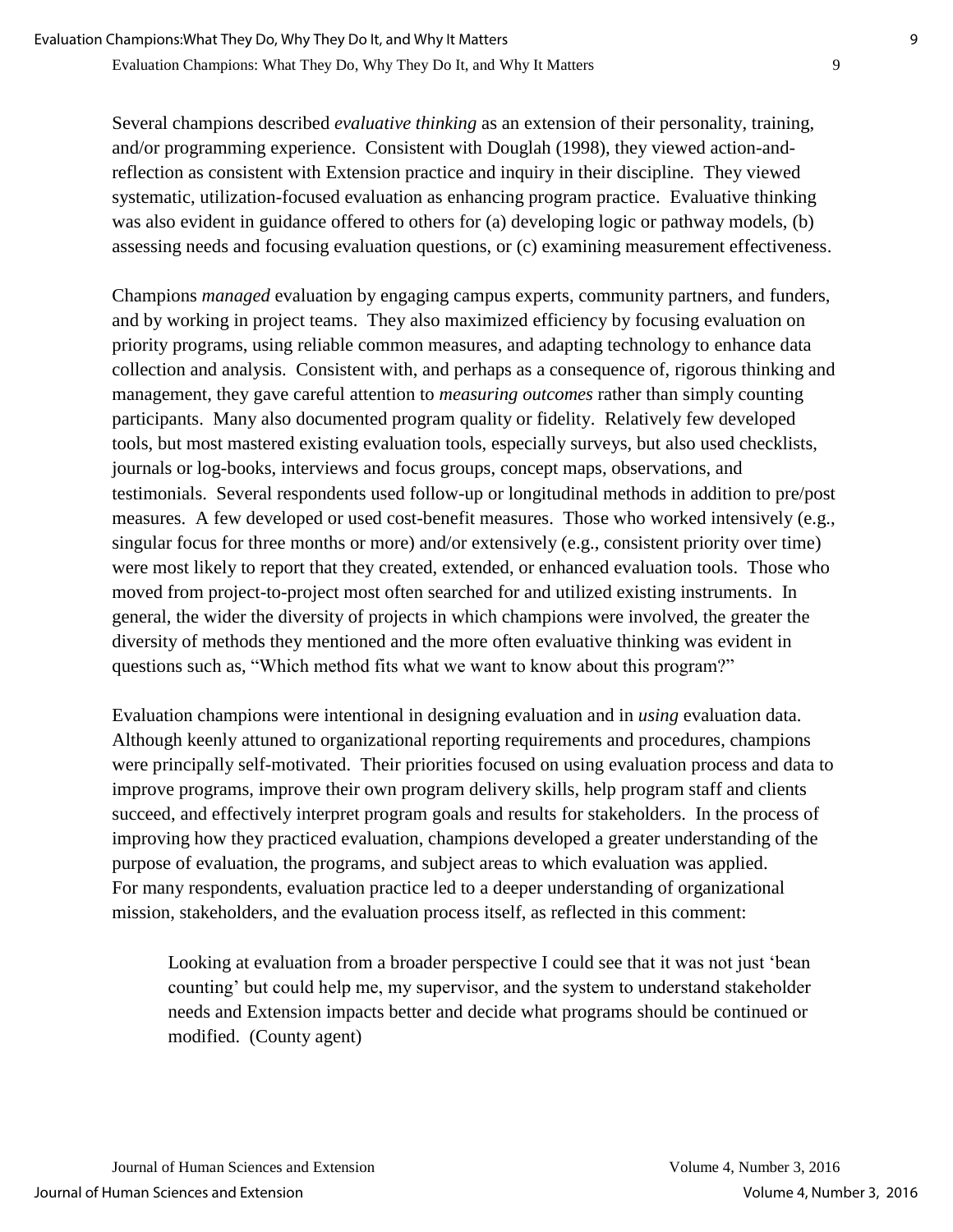Several champions described *evaluative thinking* as an extension of their personality, training, and/or programming experience. Consistent with Douglah (1998), they viewed action-andreflection as consistent with Extension practice and inquiry in their discipline. They viewed systematic, utilization-focused evaluation as enhancing program practice. Evaluative thinking was also evident in guidance offered to others for (a) developing logic or pathway models, (b) assessing needs and focusing evaluation questions, or (c) examining measurement effectiveness.

Champions *managed* evaluation by engaging campus experts, community partners, and funders, and by working in project teams. They also maximized efficiency by focusing evaluation on priority programs, using reliable common measures, and adapting technology to enhance data collection and analysis. Consistent with, and perhaps as a consequence of, rigorous thinking and management, they gave careful attention to *measuring outcomes* rather than simply counting participants. Many also documented program quality or fidelity. Relatively few developed tools, but most mastered existing evaluation tools, especially surveys, but also used checklists, journals or log-books, interviews and focus groups, concept maps, observations, and testimonials. Several respondents used follow-up or longitudinal methods in addition to pre/post measures. A few developed or used cost-benefit measures. Those who worked intensively (e.g., singular focus for three months or more) and/or extensively (e.g., consistent priority over time) were most likely to report that they created, extended, or enhanced evaluation tools. Those who moved from project-to-project most often searched for and utilized existing instruments. In general, the wider the diversity of projects in which champions were involved, the greater the diversity of methods they mentioned and the more often evaluative thinking was evident in questions such as, "Which method fits what we want to know about this program?"

Evaluation champions were intentional in designing evaluation and in *using* evaluation data. Although keenly attuned to organizational reporting requirements and procedures, champions were principally self-motivated. Their priorities focused on using evaluation process and data to improve programs, improve their own program delivery skills, help program staff and clients succeed, and effectively interpret program goals and results for stakeholders. In the process of improving how they practiced evaluation, champions developed a greater understanding of the purpose of evaluation, the programs, and subject areas to which evaluation was applied. For many respondents, evaluation practice led to a deeper understanding of organizational mission, stakeholders, and the evaluation process itself, as reflected in this comment:

Looking at evaluation from a broader perspective I could see that it was not just 'bean counting' but could help me, my supervisor, and the system to understand stakeholder needs and Extension impacts better and decide what programs should be continued or modified. (County agent)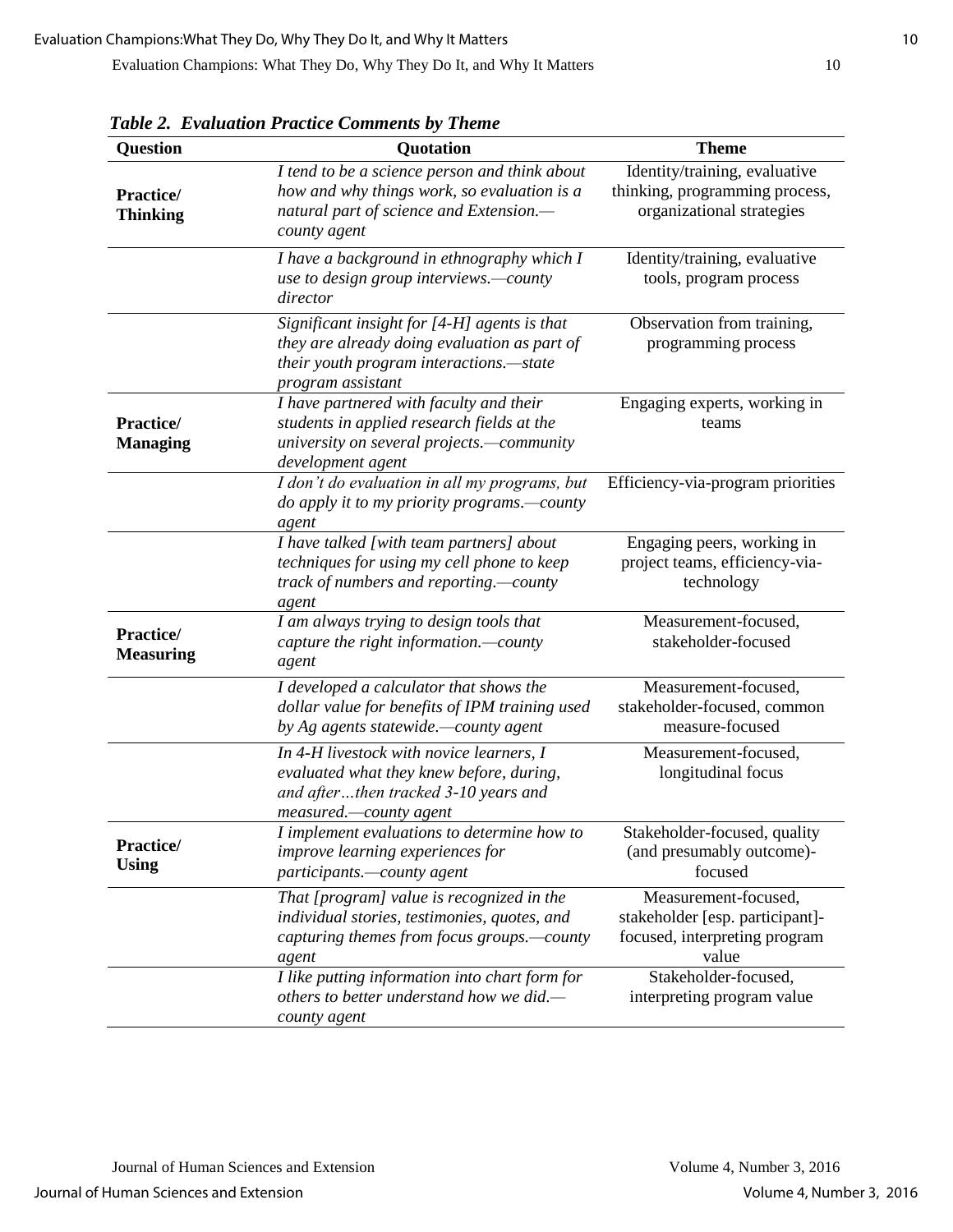| Question                      | Quotation                                                                                                                                                    | <b>Theme</b>                                                                                      |
|-------------------------------|--------------------------------------------------------------------------------------------------------------------------------------------------------------|---------------------------------------------------------------------------------------------------|
| Practice/<br><b>Thinking</b>  | I tend to be a science person and think about<br>how and why things work, so evaluation is a<br>natural part of science and Extension.-<br>county agent      | Identity/training, evaluative<br>thinking, programming process,<br>organizational strategies      |
|                               | I have a background in ethnography which I<br>use to design group interviews.-county<br>director                                                             | Identity/training, evaluative<br>tools, program process                                           |
|                               | Significant insight for [4-H] agents is that<br>they are already doing evaluation as part of<br>their youth program interactions.-state<br>program assistant | Observation from training,<br>programming process                                                 |
| Practice/<br><b>Managing</b>  | I have partnered with faculty and their<br>students in applied research fields at the<br>university on several projects.-community<br>development agent      | Engaging experts, working in<br>teams                                                             |
|                               | I don't do evaluation in all my programs, but<br>do apply it to my priority programs.—county<br>agent                                                        | Efficiency-via-program priorities                                                                 |
|                               | I have talked [with team partners] about<br>techniques for using my cell phone to keep<br>track of numbers and reporting.—county<br>agent                    | Engaging peers, working in<br>project teams, efficiency-via-<br>technology                        |
| Practice/<br><b>Measuring</b> | I am always trying to design tools that<br>capture the right information.-county<br>agent                                                                    | Measurement-focused,<br>stakeholder-focused                                                       |
|                               | I developed a calculator that shows the<br>dollar value for benefits of IPM training used<br>by Ag agents statewide.—county agent                            | Measurement-focused,<br>stakeholder-focused, common<br>measure-focused                            |
|                               | In 4-H livestock with novice learners, I<br>evaluated what they knew before, during,<br>and afterthen tracked 3-10 years and<br>measured.-county agent       | Measurement-focused,<br>longitudinal focus                                                        |
| Practice/<br><b>Using</b>     | I implement evaluations to determine how to<br>improve learning experiences for<br>participants.—county agent                                                | Stakeholder-focused, quality<br>(and presumably outcome)-<br>focused                              |
|                               | That [program] value is recognized in the<br>individual stories, testimonies, quotes, and<br>capturing themes from focus groups.—county<br>agent             | Measurement-focused,<br>stakeholder [esp. participant]-<br>focused, interpreting program<br>value |
|                               | I like putting information into chart form for<br>others to better understand how we did.—<br>county agent                                                   | Stakeholder-focused,<br>interpreting program value                                                |

*Table 2. Evaluation Practice Comments by Theme*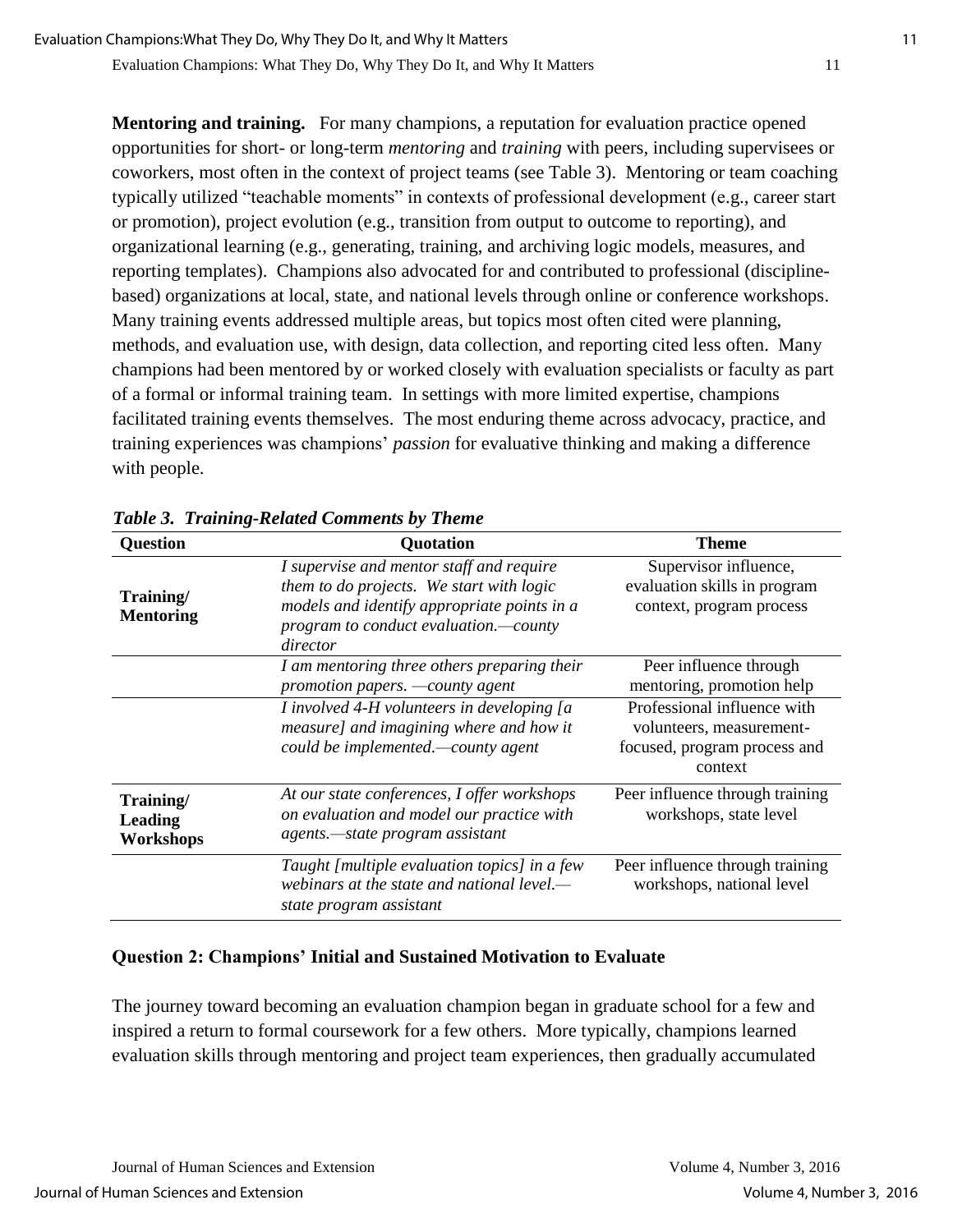**Mentoring and training.** For many champions, a reputation for evaluation practice opened opportunities for short- or long-term *mentoring* and *training* with peers, including supervisees or coworkers, most often in the context of project teams (see Table 3). Mentoring or team coaching typically utilized "teachable moments" in contexts of professional development (e.g., career start or promotion), project evolution (e.g., transition from output to outcome to reporting), and organizational learning (e.g., generating, training, and archiving logic models, measures, and reporting templates). Champions also advocated for and contributed to professional (disciplinebased) organizations at local, state, and national levels through online or conference workshops. Many training events addressed multiple areas, but topics most often cited were planning, methods, and evaluation use, with design, data collection, and reporting cited less often. Many champions had been mentored by or worked closely with evaluation specialists or faculty as part of a formal or informal training team. In settings with more limited expertise, champions facilitated training events themselves. The most enduring theme across advocacy, practice, and training experiences was champions' *passion* for evaluative thinking and making a difference with people.

| <b>Question</b>                          | <b>Quotation</b>                                                                                                                                                                         | Theme                                                                                              |
|------------------------------------------|------------------------------------------------------------------------------------------------------------------------------------------------------------------------------------------|----------------------------------------------------------------------------------------------------|
| Training/<br><b>Mentoring</b>            | I supervise and mentor staff and require<br>them to do projects. We start with logic<br>models and identify appropriate points in a<br>program to conduct evaluation.-county<br>director | Supervisor influence,<br>evaluation skills in program<br>context, program process                  |
|                                          | I am mentoring three others preparing their<br>promotion papers. —county agent                                                                                                           | Peer influence through<br>mentoring, promotion help                                                |
|                                          | I involved 4-H volunteers in developing [a<br>measure] and imagining where and how it<br>could be implemented.—county agent                                                              | Professional influence with<br>volunteers, measurement-<br>focused, program process and<br>context |
| Training/<br><b>Leading</b><br>Workshops | At our state conferences, I offer workshops<br>on evaluation and model our practice with<br>agents.—state program assistant                                                              | Peer influence through training<br>workshops, state level                                          |
|                                          | Taught [multiple evaluation topics] in a few<br>webinars at the state and national level.—<br>state program assistant                                                                    | Peer influence through training<br>workshops, national level                                       |

*Table 3. Training-Related Comments by Theme*

## **Question 2: Champions' Initial and Sustained Motivation to Evaluate**

The journey toward becoming an evaluation champion began in graduate school for a few and inspired a return to formal coursework for a few others. More typically, champions learned evaluation skills through mentoring and project team experiences, then gradually accumulated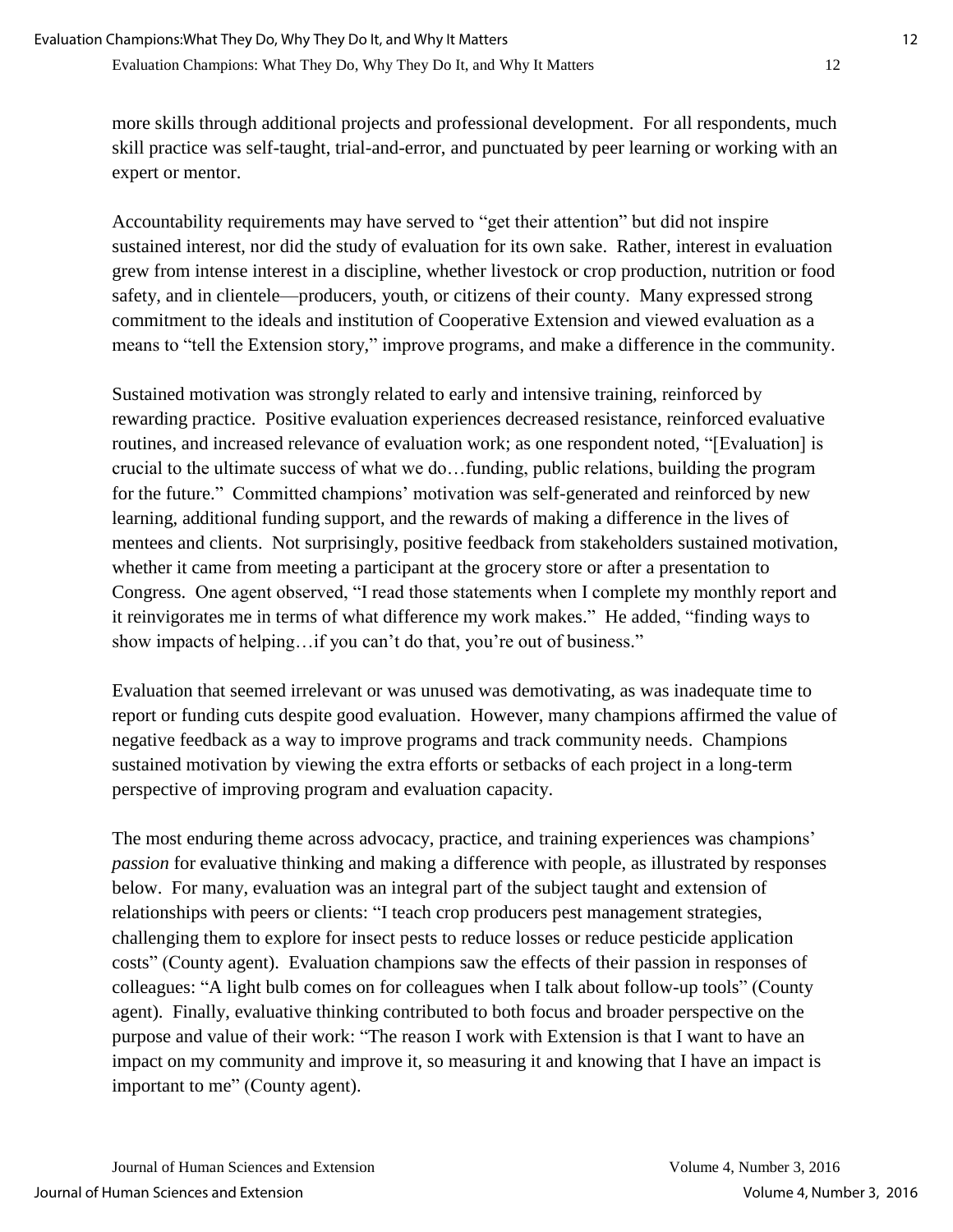more skills through additional projects and professional development. For all respondents, much skill practice was self-taught, trial-and-error, and punctuated by peer learning or working with an expert or mentor.

Accountability requirements may have served to "get their attention" but did not inspire sustained interest, nor did the study of evaluation for its own sake. Rather, interest in evaluation grew from intense interest in a discipline, whether livestock or crop production, nutrition or food safety, and in clientele—producers, youth, or citizens of their county. Many expressed strong commitment to the ideals and institution of Cooperative Extension and viewed evaluation as a means to "tell the Extension story," improve programs, and make a difference in the community.

Sustained motivation was strongly related to early and intensive training, reinforced by rewarding practice. Positive evaluation experiences decreased resistance, reinforced evaluative routines, and increased relevance of evaluation work; as one respondent noted, "[Evaluation] is crucial to the ultimate success of what we do…funding, public relations, building the program for the future." Committed champions' motivation was self-generated and reinforced by new learning, additional funding support, and the rewards of making a difference in the lives of mentees and clients. Not surprisingly, positive feedback from stakeholders sustained motivation, whether it came from meeting a participant at the grocery store or after a presentation to Congress. One agent observed, "I read those statements when I complete my monthly report and it reinvigorates me in terms of what difference my work makes." He added, "finding ways to show impacts of helping…if you can't do that, you're out of business."

Evaluation that seemed irrelevant or was unused was demotivating, as was inadequate time to report or funding cuts despite good evaluation. However, many champions affirmed the value of negative feedback as a way to improve programs and track community needs. Champions sustained motivation by viewing the extra efforts or setbacks of each project in a long-term perspective of improving program and evaluation capacity.

The most enduring theme across advocacy, practice, and training experiences was champions' *passion* for evaluative thinking and making a difference with people, as illustrated by responses below. For many, evaluation was an integral part of the subject taught and extension of relationships with peers or clients: "I teach crop producers pest management strategies, challenging them to explore for insect pests to reduce losses or reduce pesticide application costs" (County agent). Evaluation champions saw the effects of their passion in responses of colleagues: "A light bulb comes on for colleagues when I talk about follow-up tools" (County agent). Finally, evaluative thinking contributed to both focus and broader perspective on the purpose and value of their work: "The reason I work with Extension is that I want to have an impact on my community and improve it, so measuring it and knowing that I have an impact is important to me" (County agent).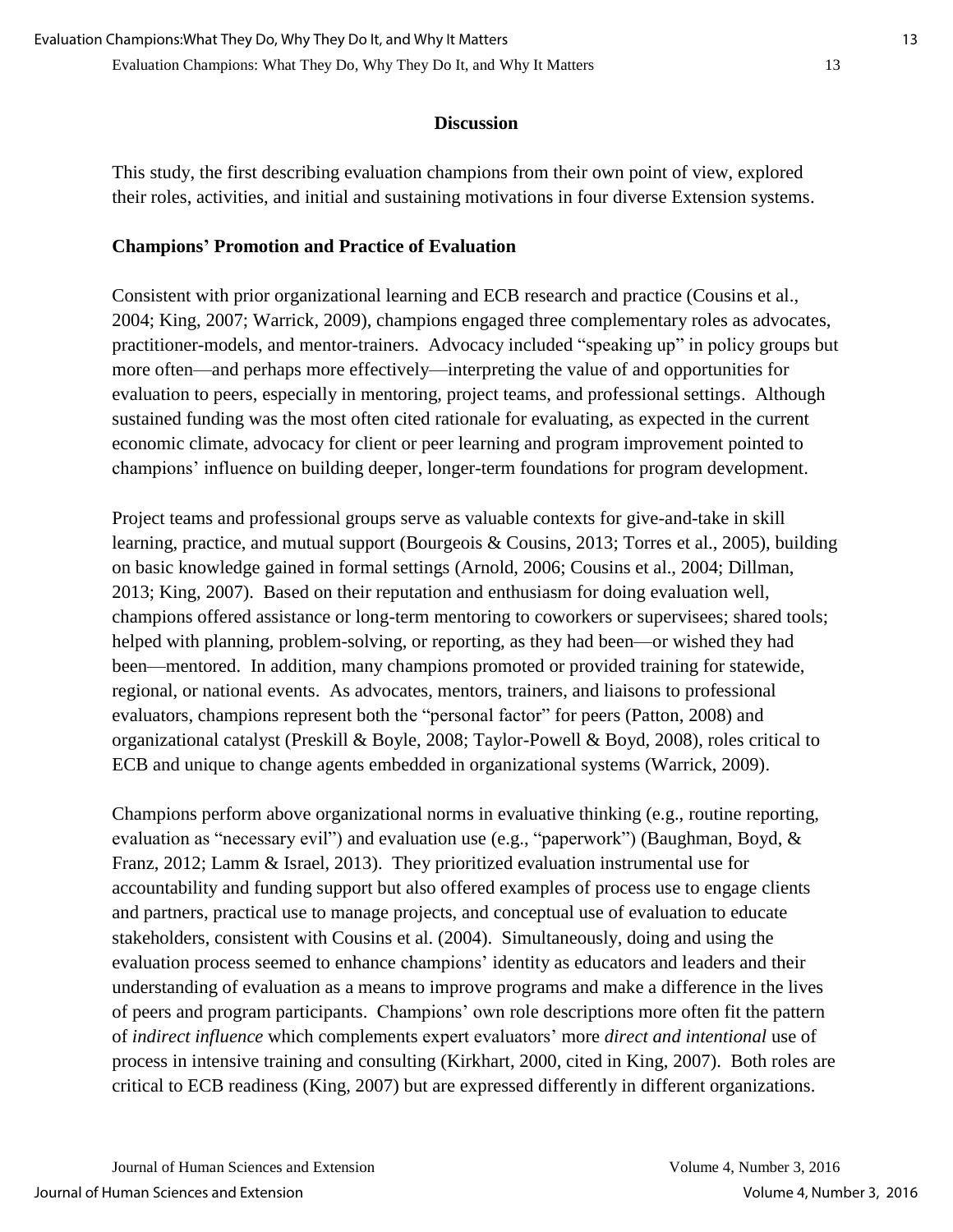#### **Discussion**

This study, the first describing evaluation champions from their own point of view, explored their roles, activities, and initial and sustaining motivations in four diverse Extension systems.

### **Champions' Promotion and Practice of Evaluation**

Consistent with prior organizational learning and ECB research and practice (Cousins et al., 2004; King, 2007; Warrick, 2009), champions engaged three complementary roles as advocates, practitioner-models, and mentor-trainers. Advocacy included "speaking up" in policy groups but more often—and perhaps more effectively—interpreting the value of and opportunities for evaluation to peers, especially in mentoring, project teams, and professional settings. Although sustained funding was the most often cited rationale for evaluating, as expected in the current economic climate, advocacy for client or peer learning and program improvement pointed to champions' influence on building deeper, longer-term foundations for program development.

Project teams and professional groups serve as valuable contexts for give-and-take in skill learning, practice, and mutual support (Bourgeois & Cousins, 2013; Torres et al., 2005), building on basic knowledge gained in formal settings (Arnold, 2006; Cousins et al., 2004; Dillman, 2013; King, 2007). Based on their reputation and enthusiasm for doing evaluation well, champions offered assistance or long-term mentoring to coworkers or supervisees; shared tools; helped with planning, problem-solving, or reporting, as they had been—or wished they had been—mentored. In addition, many champions promoted or provided training for statewide, regional, or national events. As advocates, mentors, trainers, and liaisons to professional evaluators, champions represent both the "personal factor" for peers (Patton, 2008) and organizational catalyst (Preskill & Boyle, 2008; Taylor-Powell & Boyd, 2008), roles critical to ECB and unique to change agents embedded in organizational systems (Warrick, 2009).

Champions perform above organizational norms in evaluative thinking (e.g., routine reporting, evaluation as "necessary evil") and evaluation use (e.g., "paperwork") (Baughman, Boyd, & Franz, 2012; Lamm & Israel, 2013). They prioritized evaluation instrumental use for accountability and funding support but also offered examples of process use to engage clients and partners, practical use to manage projects, and conceptual use of evaluation to educate stakeholders, consistent with Cousins et al. (2004). Simultaneously, doing and using the evaluation process seemed to enhance champions' identity as educators and leaders and their understanding of evaluation as a means to improve programs and make a difference in the lives of peers and program participants. Champions' own role descriptions more often fit the pattern of *indirect influence* which complements expert evaluators' more *direct and intentional* use of process in intensive training and consulting (Kirkhart, 2000, cited in King, 2007). Both roles are critical to ECB readiness (King, 2007) but are expressed differently in different organizations.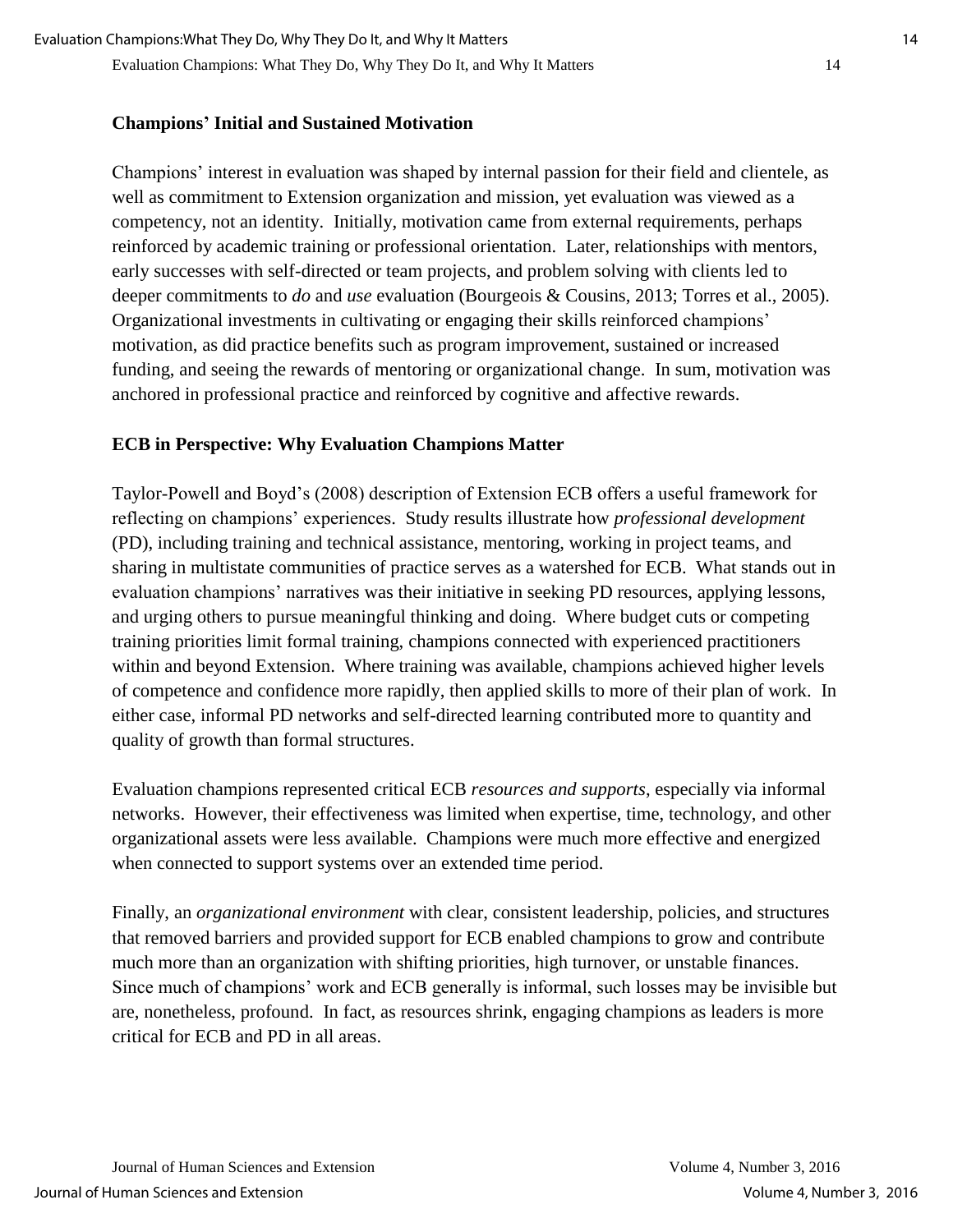#### **Champions' Initial and Sustained Motivation**

Champions' interest in evaluation was shaped by internal passion for their field and clientele, as well as commitment to Extension organization and mission, yet evaluation was viewed as a competency, not an identity. Initially, motivation came from external requirements, perhaps reinforced by academic training or professional orientation. Later, relationships with mentors, early successes with self-directed or team projects, and problem solving with clients led to deeper commitments to *do* and *use* evaluation (Bourgeois & Cousins, 2013; Torres et al., 2005). Organizational investments in cultivating or engaging their skills reinforced champions' motivation, as did practice benefits such as program improvement, sustained or increased funding, and seeing the rewards of mentoring or organizational change. In sum, motivation was anchored in professional practice and reinforced by cognitive and affective rewards.

#### **ECB in Perspective: Why Evaluation Champions Matter**

Taylor-Powell and Boyd's (2008) description of Extension ECB offers a useful framework for reflecting on champions' experiences. Study results illustrate how *professional development* (PD), including training and technical assistance, mentoring, working in project teams, and sharing in multistate communities of practice serves as a watershed for ECB. What stands out in evaluation champions' narratives was their initiative in seeking PD resources, applying lessons, and urging others to pursue meaningful thinking and doing. Where budget cuts or competing training priorities limit formal training, champions connected with experienced practitioners within and beyond Extension. Where training was available, champions achieved higher levels of competence and confidence more rapidly, then applied skills to more of their plan of work. In either case, informal PD networks and self-directed learning contributed more to quantity and quality of growth than formal structures.

Evaluation champions represented critical ECB *resources and supports*, especially via informal networks. However, their effectiveness was limited when expertise, time, technology, and other organizational assets were less available. Champions were much more effective and energized when connected to support systems over an extended time period.

Finally, an *organizational environment* with clear, consistent leadership, policies, and structures that removed barriers and provided support for ECB enabled champions to grow and contribute much more than an organization with shifting priorities, high turnover, or unstable finances. Since much of champions' work and ECB generally is informal, such losses may be invisible but are, nonetheless, profound. In fact, as resources shrink, engaging champions as leaders is more critical for ECB and PD in all areas.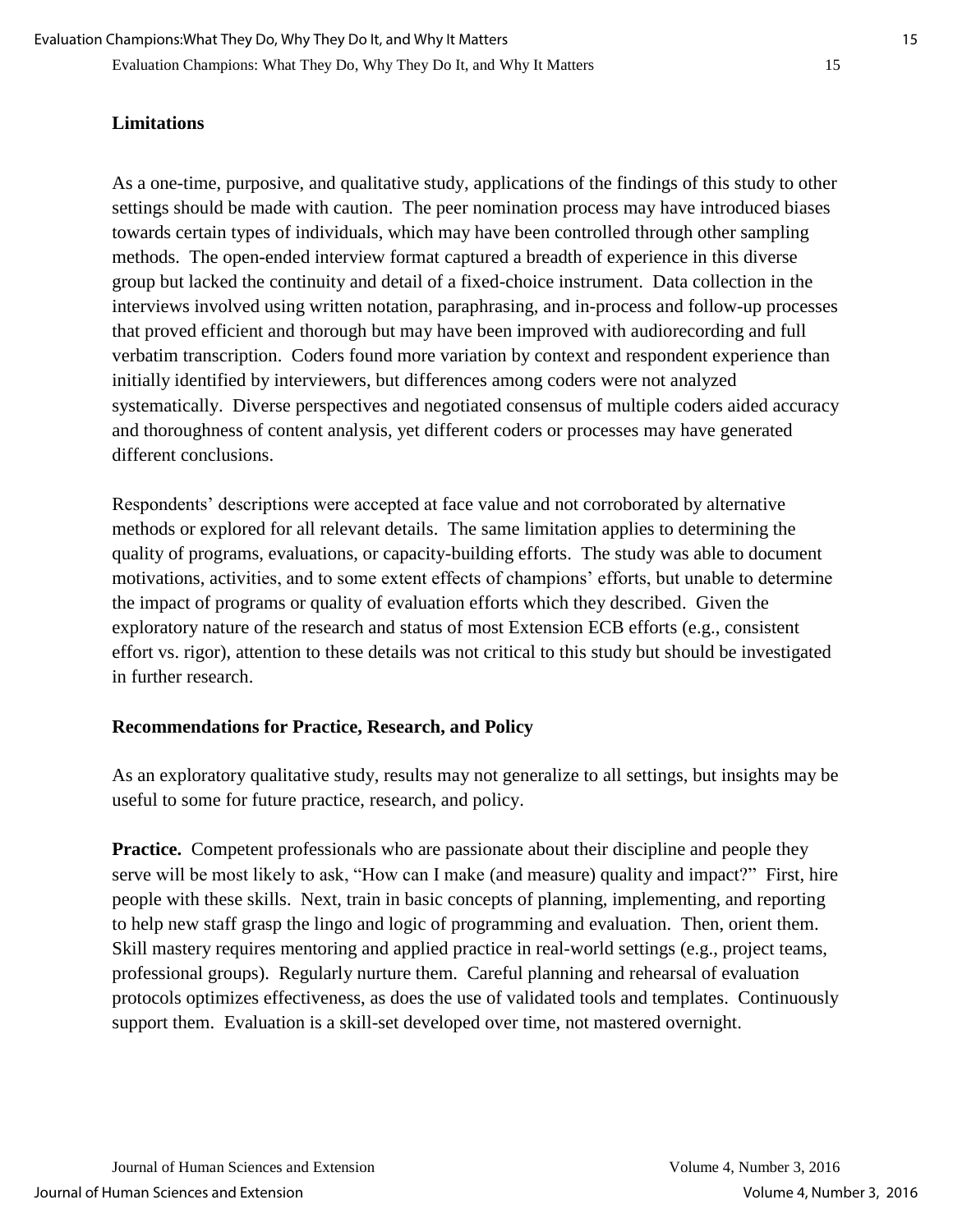Evaluation Champions: What They Do, Why They Do It, and Why It Matters 15

## **Limitations**

As a one-time, purposive, and qualitative study, applications of the findings of this study to other settings should be made with caution. The peer nomination process may have introduced biases towards certain types of individuals, which may have been controlled through other sampling methods. The open-ended interview format captured a breadth of experience in this diverse group but lacked the continuity and detail of a fixed-choice instrument. Data collection in the interviews involved using written notation, paraphrasing, and in-process and follow-up processes that proved efficient and thorough but may have been improved with audiorecording and full verbatim transcription. Coders found more variation by context and respondent experience than initially identified by interviewers, but differences among coders were not analyzed systematically. Diverse perspectives and negotiated consensus of multiple coders aided accuracy and thoroughness of content analysis, yet different coders or processes may have generated different conclusions.

Respondents' descriptions were accepted at face value and not corroborated by alternative methods or explored for all relevant details. The same limitation applies to determining the quality of programs, evaluations, or capacity-building efforts. The study was able to document motivations, activities, and to some extent effects of champions' efforts, but unable to determine the impact of programs or quality of evaluation efforts which they described. Given the exploratory nature of the research and status of most Extension ECB efforts (e.g., consistent effort vs. rigor), attention to these details was not critical to this study but should be investigated in further research.

## **Recommendations for Practice, Research, and Policy**

As an exploratory qualitative study, results may not generalize to all settings, but insights may be useful to some for future practice, research, and policy.

**Practice.** Competent professionals who are passionate about their discipline and people they serve will be most likely to ask, "How can I make (and measure) quality and impact?" First, hire people with these skills. Next, train in basic concepts of planning, implementing, and reporting to help new staff grasp the lingo and logic of programming and evaluation. Then, orient them. Skill mastery requires mentoring and applied practice in real-world settings (e.g., project teams, professional groups). Regularly nurture them. Careful planning and rehearsal of evaluation protocols optimizes effectiveness, as does the use of validated tools and templates. Continuously support them. Evaluation is a skill-set developed over time, not mastered overnight.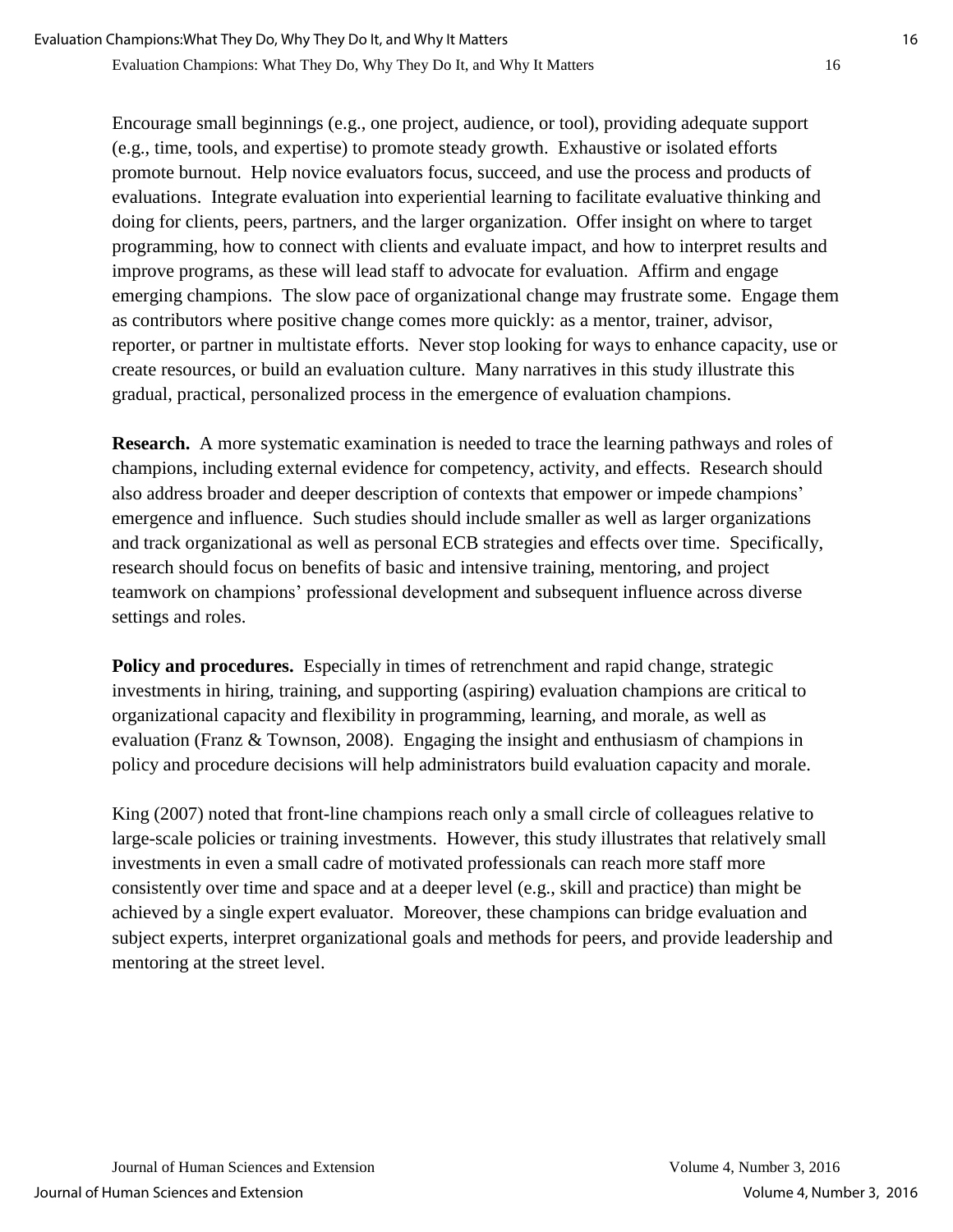Encourage small beginnings (e.g., one project, audience, or tool), providing adequate support (e.g., time, tools, and expertise) to promote steady growth. Exhaustive or isolated efforts promote burnout. Help novice evaluators focus, succeed, and use the process and products of evaluations. Integrate evaluation into experiential learning to facilitate evaluative thinking and doing for clients, peers, partners, and the larger organization. Offer insight on where to target programming, how to connect with clients and evaluate impact, and how to interpret results and improve programs, as these will lead staff to advocate for evaluation. Affirm and engage emerging champions. The slow pace of organizational change may frustrate some. Engage them as contributors where positive change comes more quickly: as a mentor, trainer, advisor, reporter, or partner in multistate efforts. Never stop looking for ways to enhance capacity, use or create resources, or build an evaluation culture. Many narratives in this study illustrate this gradual, practical, personalized process in the emergence of evaluation champions.

**Research.** A more systematic examination is needed to trace the learning pathways and roles of champions, including external evidence for competency, activity, and effects. Research should also address broader and deeper description of contexts that empower or impede champions' emergence and influence. Such studies should include smaller as well as larger organizations and track organizational as well as personal ECB strategies and effects over time. Specifically, research should focus on benefits of basic and intensive training, mentoring, and project teamwork on champions' professional development and subsequent influence across diverse settings and roles.

**Policy and procedures.** Especially in times of retrenchment and rapid change, strategic investments in hiring, training, and supporting (aspiring) evaluation champions are critical to organizational capacity and flexibility in programming, learning, and morale, as well as evaluation (Franz & Townson, 2008). Engaging the insight and enthusiasm of champions in policy and procedure decisions will help administrators build evaluation capacity and morale.

King (2007) noted that front-line champions reach only a small circle of colleagues relative to large-scale policies or training investments. However, this study illustrates that relatively small investments in even a small cadre of motivated professionals can reach more staff more consistently over time and space and at a deeper level (e.g., skill and practice) than might be achieved by a single expert evaluator. Moreover, these champions can bridge evaluation and subject experts, interpret organizational goals and methods for peers, and provide leadership and mentoring at the street level.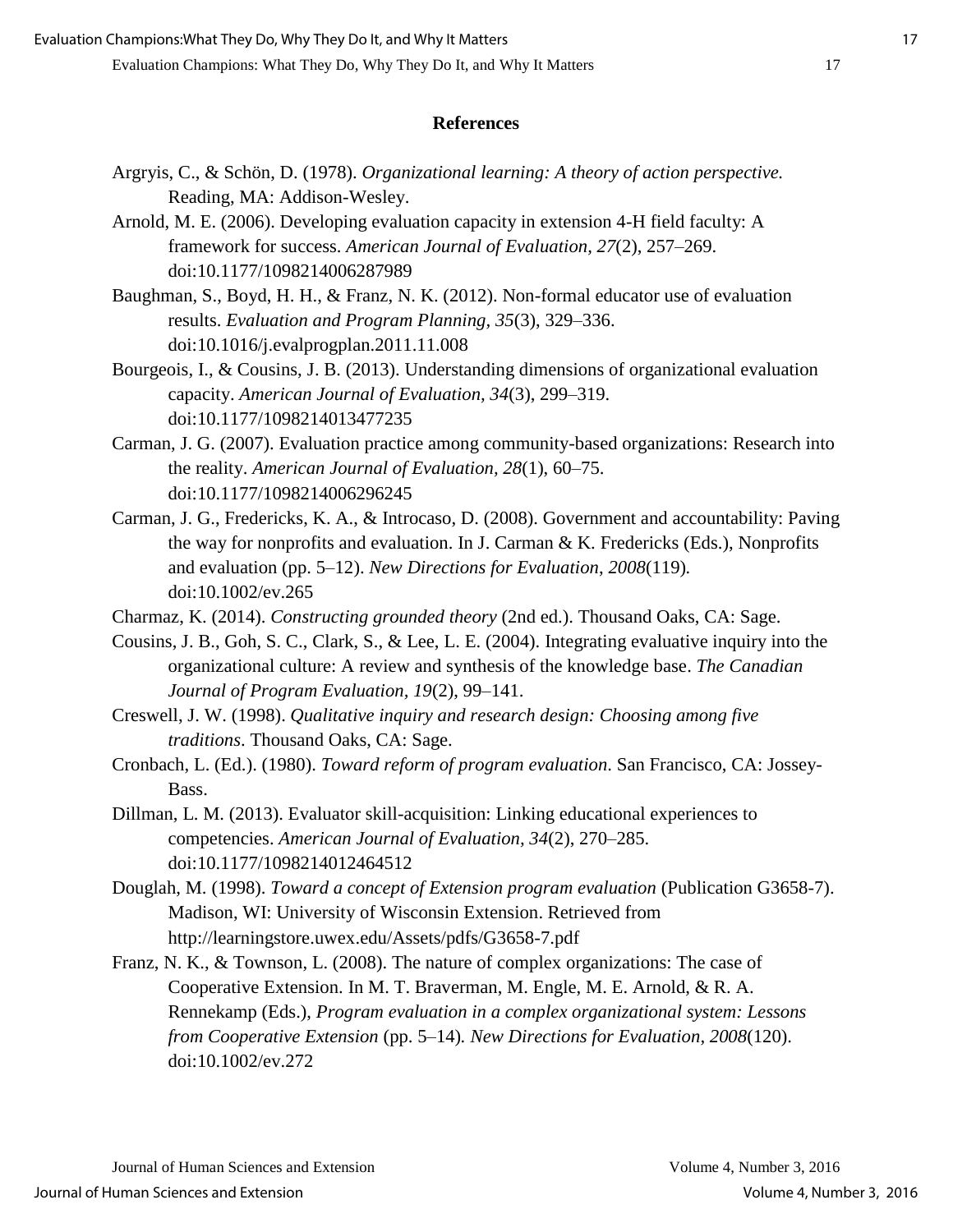#### **References**

- Argryis, C., & Schön, D. (1978). *Organizational learning: A theory of action perspective.* Reading, MA: Addison-Wesley.
- Arnold, M. E. (2006). Developing evaluation capacity in extension 4-H field faculty: A framework for success. *American Journal of Evaluation, 27*(2), 257–269. doi:10.1177/1098214006287989
- Baughman, S., Boyd, H. H., & Franz, N. K. (2012). Non-formal educator use of evaluation results. *[Evaluation and Program Planning,](javascript:__doLinkPostBack() 35*(3), 329–336. doi:10.1016/j.evalprogplan.2011.11.008
- Bourgeois, I., & Cousins, J. B. (2013). Understanding dimensions of organizational evaluation capacity. *American Journal of Evaluation, 34*(3), 299–319. doi:10.1177/1098214013477235
- Carman, J. G. (2007). Evaluation practice among community-based organizations: Research into the reality. *American Journal of Evaluation, 28*(1), 60–75. doi:10.1177/1098214006296245
- Carman, J. G., Fredericks, K. A., & Introcaso, D. (2008). Government and accountability: Paving the way for nonprofits and evaluation. In J. Carman & K. Fredericks (Eds.), Nonprofits and evaluation (pp. 5–12). *New Directions for Evaluation*, *2008*(119)*.* doi:10.1002/ev.265
- Charmaz, K. (2014). *Constructing grounded theory* (2nd ed.). Thousand Oaks, CA: Sage.
- Cousins, J. B., Goh, S. C., Clark, S., & Lee, L. E. (2004). Integrating evaluative inquiry into the organizational culture: A review and synthesis of the knowledge base. *The Canadian Journal of Program Evaluation, 19*(2), 99–141.
- Creswell, J. W. (1998). *Qualitative inquiry and research design: Choosing among five traditions*. Thousand Oaks, CA: Sage.
- Cronbach, L. (Ed.). (1980). *Toward reform of program evaluation*. San Francisco, CA: Jossey-Bass.
- Dillman, L. M. (2013). Evaluator skill-acquisition: Linking educational experiences to competencies. *American Journal of Evaluation, 34*(2), 270–285. doi:10.1177/1098214012464512
- Douglah, M. (1998). *Toward a concept of Extension program evaluation* (Publication G3658-7). Madison, WI: University of Wisconsin Extension. Retrieved from http://learningstore.uwex.edu/Assets/pdfs/G3658-7.pdf
- Franz, N. K., & Townson, L. (2008). The nature of complex organizations: The case of Cooperative Extension. In M. T. Braverman, M. Engle, M. E. Arnold, & R. A. Rennekamp (Eds.), *Program evaluation in a complex organizational system: Lessons from Cooperative Extension* (pp. 5–14)*. New Directions for Evaluation, 2008*(120). doi:10.1002/ev.272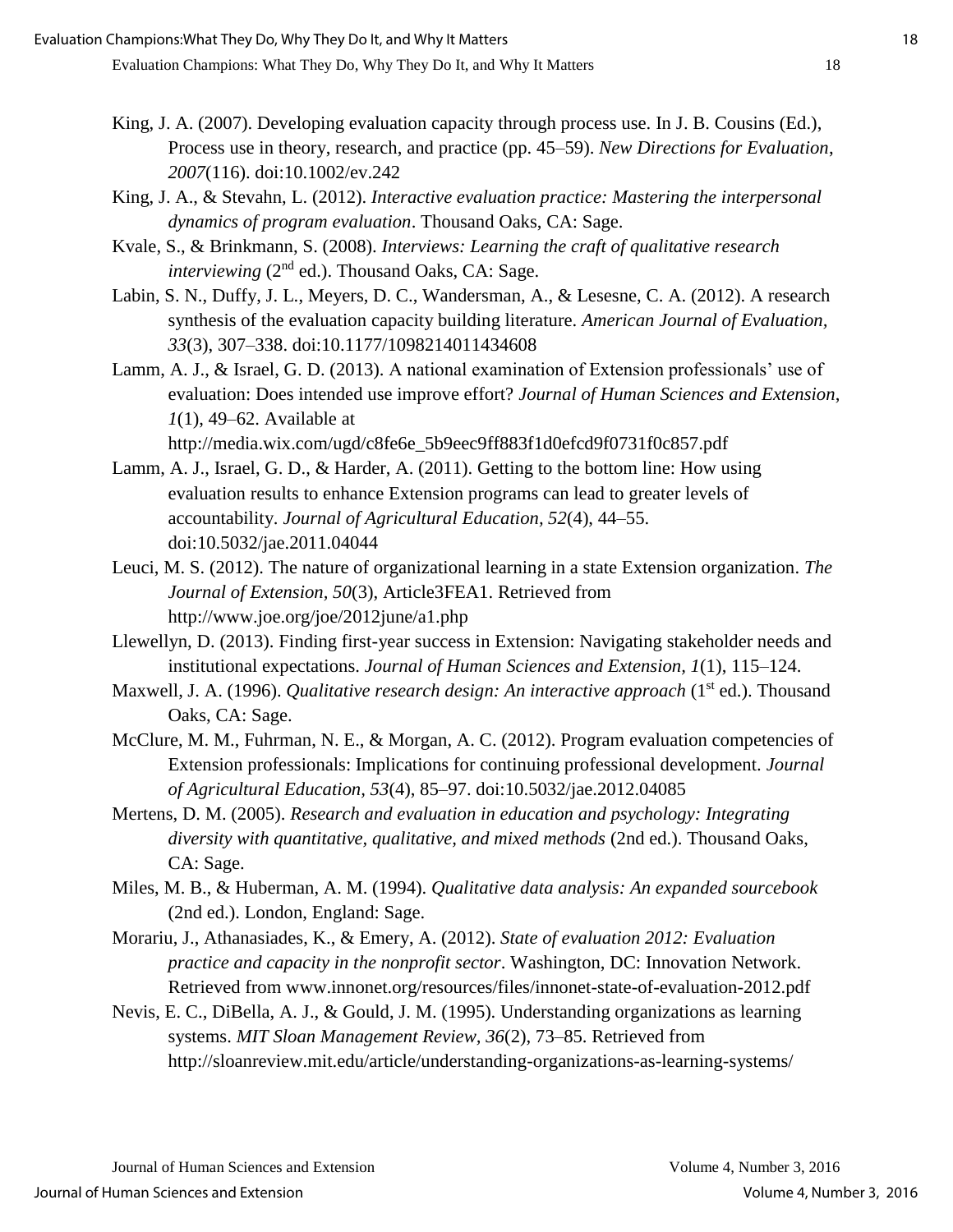- King, J. A. (2007). Developing evaluation capacity through process use. In J. B. Cousins (Ed.), Process use in theory, research, and practice (pp. 45–59). *New Directions for Evaluation*, *2007*(116). doi:10.1002/ev.242
- King, J. A., & Stevahn, L. (2012). *Interactive evaluation practice: Mastering the interpersonal dynamics of program evaluation*. Thousand Oaks, CA: Sage.
- Kvale, S., & Brinkmann, S. (2008). *Interviews: Learning the craft of qualitative research interviewing* (2<sup>nd</sup> ed.). Thousand Oaks, CA: Sage.
- Labin, S. N., Duffy, J. L., Meyers, D. C., Wandersman, A., & Lesesne, C. A. (2012). A research synthesis of the evaluation capacity building literature. *American Journal of Evaluation, 33*(3), 307–338. doi:10.1177/1098214011434608
- Lamm, A. J., & Israel, G. D. (2013). A national examination of Extension professionals' use of evaluation: Does intended use improve effort? *Journal of Human Sciences and Extension*, *1*(1), 49–62. Available at

http://media.wix.com/ugd/c8fe6e\_5b9eec9ff883f1d0efcd9f0731f0c857.pdf

- Lamm, A. J., Israel, G. D., & Harder, A. (2011). Getting to the bottom line: How using evaluation results to enhance Extension programs can lead to greater levels of accountability. *Journal of Agricultural Education, 52*(4), 44–55. doi:10.5032/jae.2011.04044
- Leuci, M. S. (2012). The nature of organizational learning in a state Extension organization. *The Journal of Extension, 50*(3), Article3FEA1. Retrieved from http://www.joe.org/joe/2012june/a1.php
- Llewellyn, D. (2013). Finding first-year success in Extension: Navigating stakeholder needs and institutional expectations. *Journal of Human Sciences and Extension, 1*(1), 115–124.
- Maxwell, J. A. (1996). *Qualitative research design: An interactive approach* (1<sup>st</sup> ed.). Thousand Oaks, CA: Sage.
- McClure, M. M., Fuhrman, N. E., & Morgan, A. C. (2012). Program evaluation competencies of Extension professionals: Implications for continuing professional development. *Journal of Agricultural Education, 53*(4), 85–97. doi:10.5032/jae.2012.04085
- Mertens, D. M. (2005). *Research and evaluation in education and psychology: Integrating diversity with quantitative, qualitative, and mixed methods* (2nd ed.). Thousand Oaks, CA: Sage.
- Miles, M. B., & Huberman, A. M. (1994). *Qualitative data analysis: An expanded sourcebook*  (2nd ed.). London, England: Sage.
- Morariu, J., Athanasiades, K., & Emery, A. (2012). *State of evaluation 2012: Evaluation practice and capacity in the nonprofit sector*. Washington, DC: Innovation Network. Retrieved from www.innonet.org/resources/files/innonet-state-of-evaluation-2012.pdf
- Nevis, E. C., DiBella, A. J., & Gould, J. M. (1995). Understanding organizations as learning systems. *MIT Sloan Management Review, 36*(2), 73–85. Retrieved from http://sloanreview.mit.edu/article/understanding-organizations-as-learning-systems/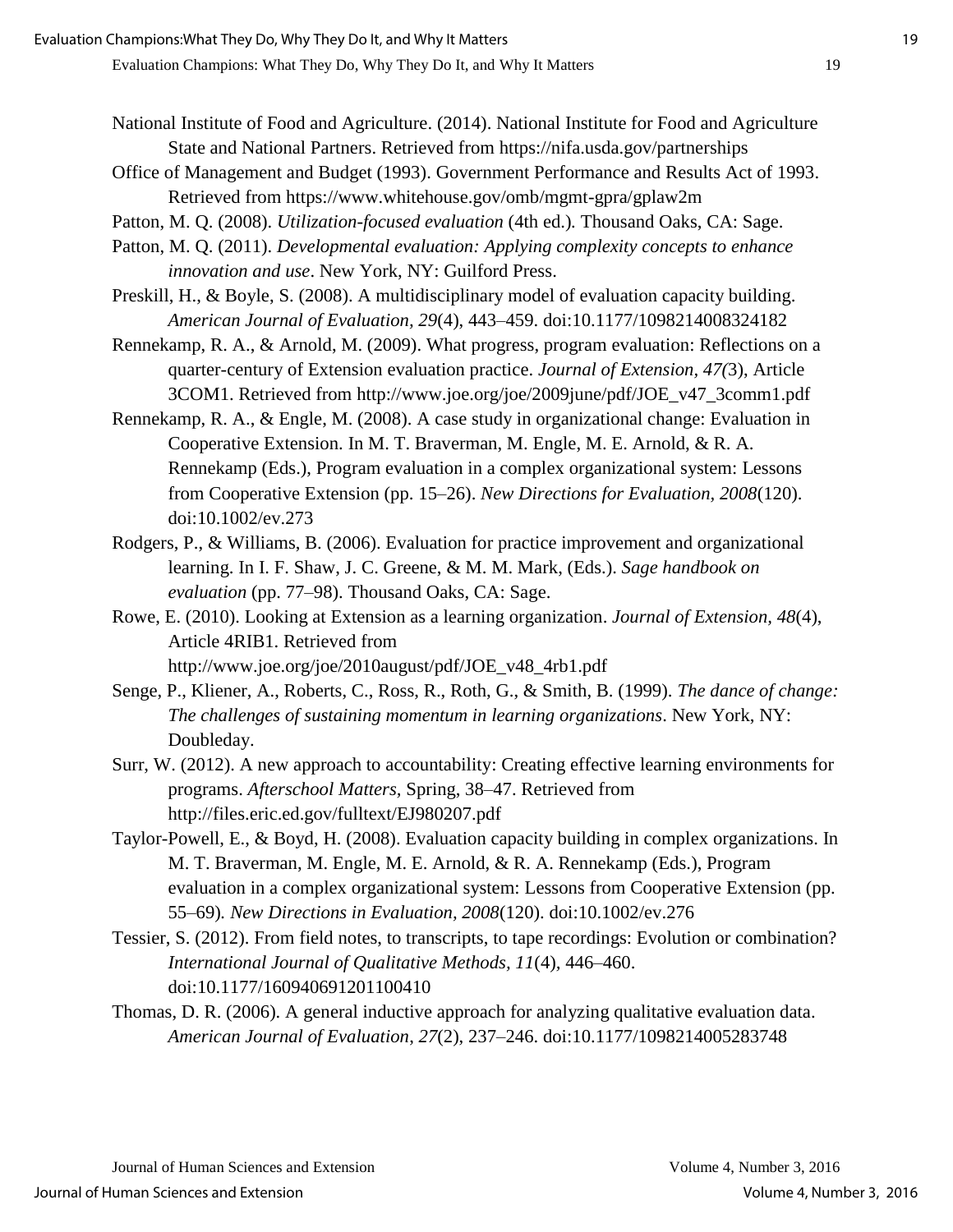- National Institute of Food and Agriculture. (2014). National Institute for Food and Agriculture State and National Partners. Retrieved from https://nifa.usda.gov/partnerships
- Office of Management and Budget (1993). Government Performance and Results Act of 1993. Retrieved from https://www.whitehouse.gov/omb/mgmt-gpra/gplaw2m
- Patton, M. Q. (2008). *Utilization-focused evaluation* (4th ed.)*.* Thousand Oaks, CA: Sage.
- Patton, M. Q. (2011). *Developmental evaluation: Applying complexity concepts to enhance innovation and use*. New York, NY: Guilford Press.
- Preskill, H., & Boyle, S. (2008). A multidisciplinary model of evaluation capacity building. *American Journal of Evaluation, 29*(4), 443–459. doi:10.1177/1098214008324182
- Rennekamp, R. A., & Arnold, M. (2009). What progress, program evaluation: Reflections on a quarter-century of Extension evaluation practice. *Journal of Extension, 47(*3), Article 3COM1. Retrieved from http://www.joe.org/joe/2009june/pdf/JOE\_v47\_3comm1.pdf
- Rennekamp, R. A., & Engle, M. (2008). A case study in organizational change: Evaluation in Cooperative Extension. In M. T. Braverman, M. Engle, M. E. Arnold, & R. A. Rennekamp (Eds.), Program evaluation in a complex organizational system: Lessons from Cooperative Extension (pp. 15–26). *New Directions for Evaluation, 2008*(120). doi:10.1002/ev.273
- Rodgers, P., & Williams, B. (2006). Evaluation for practice improvement and organizational learning. In I. F. Shaw, J. C. Greene, & M. M. Mark, (Eds.). *Sage handbook on evaluation* (pp. 77–98). Thousand Oaks, CA: Sage.
- Rowe, E. (2010). Looking at Extension as a learning organization. *Journal of Extension, 48*(4), Article 4RIB1. Retrieved from http://www.joe.org/joe/2010august/pdf/JOE\_v48\_4rb1.pdf
- Senge, P., Kliener, A., Roberts, C., Ross, R., Roth, G., & Smith, B. (1999). *The dance of change: The challenges of sustaining momentum in learning organizations*. New York, NY: Doubleday.
- Surr, W. (2012). A new approach to accountability: Creating effective learning environments for programs. *Afterschool Matters,* Spring, 38–47. Retrieved from http://files.eric.ed.gov/fulltext/EJ980207.pdf
- Taylor-Powell, E., & Boyd, H. (2008). Evaluation capacity building in complex organizations. In M. T. Braverman, M. Engle, M. E. Arnold, & R. A. Rennekamp (Eds.), Program evaluation in a complex organizational system: Lessons from Cooperative Extension (pp. 55–69)*. New Directions in Evaluation, 2008*(120). doi:10.1002/ev.276
- Tessier, S. (2012). From field notes, to transcripts, to tape recordings: Evolution or combination? *International Journal of Qualitative Methods, 11*(4)*,* 446–460. doi:10.1177/160940691201100410
- Thomas, D. R. (2006). A general inductive approach for analyzing qualitative evaluation data. *American Journal of Evaluation*, *27*(2), 237–246. doi:10.1177/1098214005283748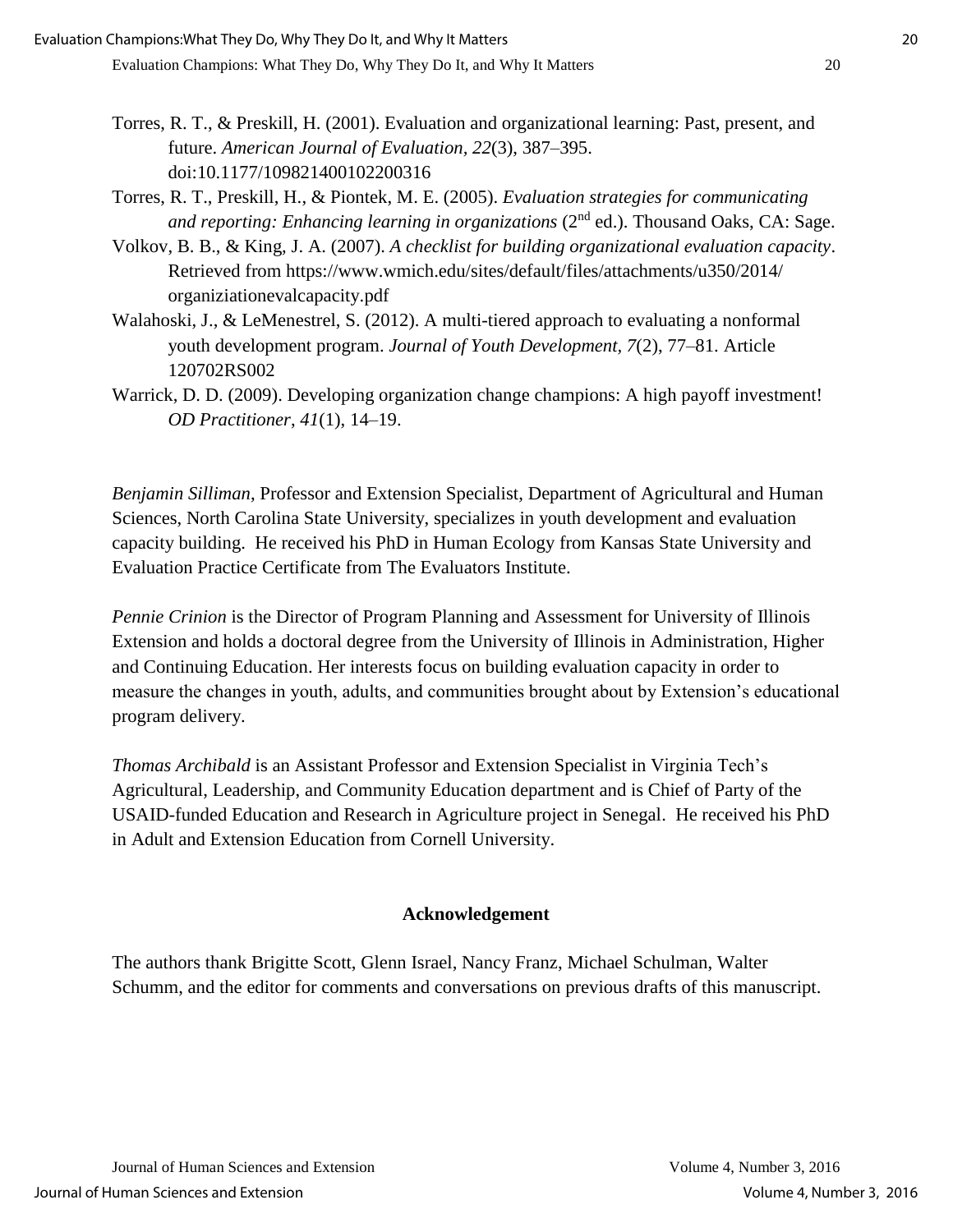- Torres, R. T., & Preskill, H. (2001). Evaluation and organizational learning: Past, present, and future. *American Journal of Evaluation, 22*(3), 387–395. doi:10.1177/109821400102200316
- Torres, R. T., Preskill, H., & Piontek, M. E. (2005). *Evaluation strategies for communicating and reporting: Enhancing learning in organizations* (2<sup>nd</sup> ed.). Thousand Oaks, CA: Sage.
- Volkov, B. B., & King, J. A. (2007). *A checklist for building organizational evaluation capacity*. Retrieved from https://www.wmich.edu/sites/default/files/attachments/u350/2014/ organiziationevalcapacity.pdf
- Walahoski, J., & LeMenestrel, S. (2012). A multi-tiered approach to evaluating a nonformal youth development program. *Journal of Youth Development, 7*(2), 77–81. Article 120702RS002
- Warrick, D. D. (2009). Developing organization change champions: A high payoff investment! *OD Practitioner*, *41*(1), 14–19.

*Benjamin Silliman*, Professor and Extension Specialist, Department of Agricultural and Human Sciences, North Carolina State University, specializes in youth development and evaluation capacity building. He received his PhD in Human Ecology from Kansas State University and Evaluation Practice Certificate from The Evaluators Institute.

*Pennie Crinion* is the Director of Program Planning and Assessment for University of Illinois Extension and holds a doctoral degree from the University of Illinois in Administration, Higher and Continuing Education. Her interests focus on building evaluation capacity in order to measure the changes in youth, adults, and communities brought about by Extension's educational program delivery.

*Thomas Archibald* is an Assistant Professor and Extension Specialist in Virginia Tech's Agricultural, Leadership, and Community Education department and is Chief of Party of the USAID-funded Education and Research in Agriculture project in Senegal. He received his PhD in Adult and Extension Education from Cornell University.

## **Acknowledgement**

The authors thank Brigitte Scott, Glenn Israel, Nancy Franz, Michael Schulman, Walter Schumm, and the editor for comments and conversations on previous drafts of this manuscript.